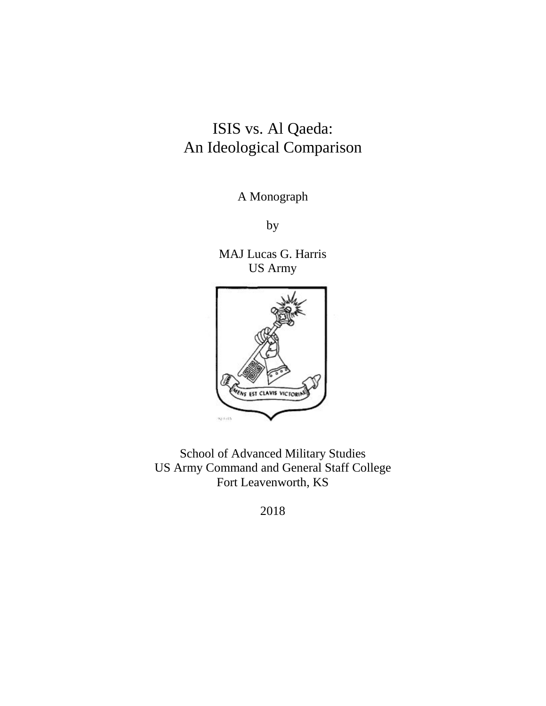# ISIS vs. Al Qaeda: An Ideological Comparison

A Monograph

by

 US Army MAJ Lucas G. Harris



School of Advanced Military Studies US Army Command and General Staff College Fort Leavenworth, KS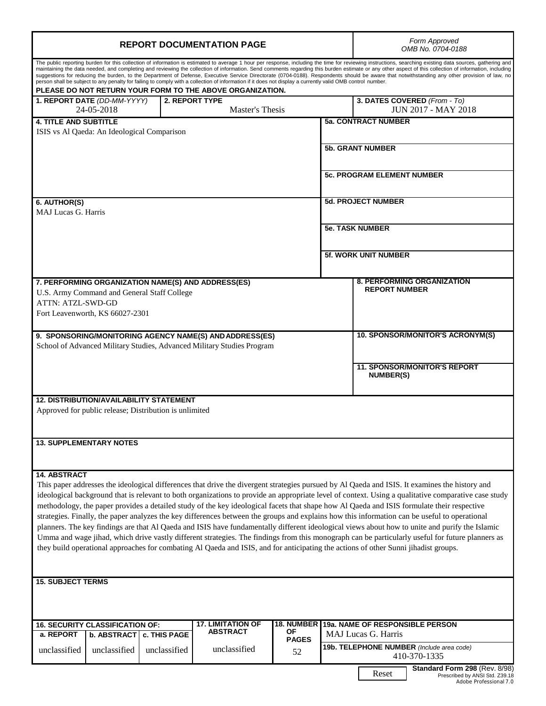| <b>REPORT DOCUMENTATION PAGE</b>                                                                                                                                                                                                                                                                                                                                                                                                                                                                                                                                                                                                                                                                                                                                                                                                                                                                                                                                                                                                                                                                      |                         |                                                           | Form Approved<br>OMB No. 0704-0188                                                        |  |  |
|-------------------------------------------------------------------------------------------------------------------------------------------------------------------------------------------------------------------------------------------------------------------------------------------------------------------------------------------------------------------------------------------------------------------------------------------------------------------------------------------------------------------------------------------------------------------------------------------------------------------------------------------------------------------------------------------------------------------------------------------------------------------------------------------------------------------------------------------------------------------------------------------------------------------------------------------------------------------------------------------------------------------------------------------------------------------------------------------------------|-------------------------|-----------------------------------------------------------|-------------------------------------------------------------------------------------------|--|--|
| The public reporting burden for this collection of information is estimated to average 1 hour per response, including the time for reviewing instructions, searching existing data sources, gathering and<br>maintaining the data needed, and completing and reviewing the collection of information. Send comments regarding this burden estimate or any other aspect of this collection of information, including<br>suggestions for reducing the burden, to the Department of Defense, Executive Service Directorate (0704-0188). Respondents should be aware that notwithstanding any other provision of law, no<br>person shall be subject to any penalty for failing to comply with a collection of information if it does not display a currently valid OMB control number.<br>PLEASE DO NOT RETURN YOUR FORM TO THE ABOVE ORGANIZATION.                                                                                                                                                                                                                                                       |                         |                                                           |                                                                                           |  |  |
| 1. REPORT DATE (DD-MM-YYYY)<br>2. REPORT TYPE<br>24-05-2018                                                                                                                                                                                                                                                                                                                                                                                                                                                                                                                                                                                                                                                                                                                                                                                                                                                                                                                                                                                                                                           | Master's Thesis         | 3. DATES COVERED (From - To)                              | <b>JUN 2017 - MAY 2018</b>                                                                |  |  |
| <b>4. TITLE AND SUBTITLE</b><br>ISIS vs Al Qaeda: An Ideological Comparison                                                                                                                                                                                                                                                                                                                                                                                                                                                                                                                                                                                                                                                                                                                                                                                                                                                                                                                                                                                                                           |                         | <b>5a. CONTRACT NUMBER</b>                                |                                                                                           |  |  |
|                                                                                                                                                                                                                                                                                                                                                                                                                                                                                                                                                                                                                                                                                                                                                                                                                                                                                                                                                                                                                                                                                                       |                         | <b>5b. GRANT NUMBER</b>                                   |                                                                                           |  |  |
|                                                                                                                                                                                                                                                                                                                                                                                                                                                                                                                                                                                                                                                                                                                                                                                                                                                                                                                                                                                                                                                                                                       |                         | <b>5c. PROGRAM ELEMENT NUMBER</b>                         |                                                                                           |  |  |
| 6. AUTHOR(S)<br><b>MAJ Lucas G. Harris</b>                                                                                                                                                                                                                                                                                                                                                                                                                                                                                                                                                                                                                                                                                                                                                                                                                                                                                                                                                                                                                                                            |                         | <b>5d. PROJECT NUMBER</b>                                 |                                                                                           |  |  |
|                                                                                                                                                                                                                                                                                                                                                                                                                                                                                                                                                                                                                                                                                                                                                                                                                                                                                                                                                                                                                                                                                                       |                         | <b>5e. TASK NUMBER</b>                                    |                                                                                           |  |  |
|                                                                                                                                                                                                                                                                                                                                                                                                                                                                                                                                                                                                                                                                                                                                                                                                                                                                                                                                                                                                                                                                                                       |                         | 5f. WORK UNIT NUMBER                                      |                                                                                           |  |  |
| 7. PERFORMING ORGANIZATION NAME(S) AND ADDRESS(ES)<br>U.S. Army Command and General Staff College<br><b>ATTN: ATZL-SWD-GD</b><br>Fort Leavenworth, KS 66027-2301                                                                                                                                                                                                                                                                                                                                                                                                                                                                                                                                                                                                                                                                                                                                                                                                                                                                                                                                      |                         | <b>8. PERFORMING ORGANIZATION</b><br><b>REPORT NUMBER</b> |                                                                                           |  |  |
| 9. SPONSORING/MONITORING AGENCY NAME(S) AND ADDRESS(ES)<br>School of Advanced Military Studies, Advanced Military Studies Program                                                                                                                                                                                                                                                                                                                                                                                                                                                                                                                                                                                                                                                                                                                                                                                                                                                                                                                                                                     |                         |                                                           | 10. SPONSOR/MONITOR'S ACRONYM(S)                                                          |  |  |
|                                                                                                                                                                                                                                                                                                                                                                                                                                                                                                                                                                                                                                                                                                                                                                                                                                                                                                                                                                                                                                                                                                       |                         | <b>11. SPONSOR/MONITOR'S REPORT</b><br><b>NUMBER(S)</b>   |                                                                                           |  |  |
| <b>12. DISTRIBUTION/AVAILABILITY STATEMENT</b><br>Approved for public release; Distribution is unlimited                                                                                                                                                                                                                                                                                                                                                                                                                                                                                                                                                                                                                                                                                                                                                                                                                                                                                                                                                                                              |                         |                                                           |                                                                                           |  |  |
| <b>13. SUPPLEMENTARY NOTES</b>                                                                                                                                                                                                                                                                                                                                                                                                                                                                                                                                                                                                                                                                                                                                                                                                                                                                                                                                                                                                                                                                        |                         |                                                           |                                                                                           |  |  |
| <b>14. ABSTRACT</b><br>This paper addresses the ideological differences that drive the divergent strategies pursued by Al Qaeda and ISIS. It examines the history and<br>ideological background that is relevant to both organizations to provide an appropriate level of context. Using a qualitative comparative case study<br>methodology, the paper provides a detailed study of the key ideological facets that shape how Al Qaeda and ISIS formulate their respective<br>strategies. Finally, the paper analyzes the key differences between the groups and explains how this information can be useful to operational<br>planners. The key findings are that Al Qaeda and ISIS have fundamentally different ideological views about how to unite and purify the Islamic<br>Umma and wage jihad, which drive vastly different strategies. The findings from this monograph can be particularly useful for future planners as<br>they build operational approaches for combating Al Qaeda and ISIS, and for anticipating the actions of other Sunni jihadist groups.<br><b>15. SUBJECT TERMS</b> |                         |                                                           |                                                                                           |  |  |
|                                                                                                                                                                                                                                                                                                                                                                                                                                                                                                                                                                                                                                                                                                                                                                                                                                                                                                                                                                                                                                                                                                       |                         |                                                           |                                                                                           |  |  |
| 17. LIMITATION OF<br><b>16. SECURITY CLASSIFICATION OF:</b><br><b>ABSTRACT</b><br>a. REPORT<br>b. ABSTRACT<br>c. THIS PAGE                                                                                                                                                                                                                                                                                                                                                                                                                                                                                                                                                                                                                                                                                                                                                                                                                                                                                                                                                                            | <b>18. NUMBER</b><br>ΟF | 19a. NAME OF RESPONSIBLE PERSON<br>MAJ Lucas G. Harris    |                                                                                           |  |  |
| unclassified<br>unclassified<br>unclassified<br>unclassified                                                                                                                                                                                                                                                                                                                                                                                                                                                                                                                                                                                                                                                                                                                                                                                                                                                                                                                                                                                                                                          | <b>PAGES</b><br>52      | 19b. TELEPHONE NUMBER (Include area code)<br>410-370-1335 |                                                                                           |  |  |
|                                                                                                                                                                                                                                                                                                                                                                                                                                                                                                                                                                                                                                                                                                                                                                                                                                                                                                                                                                                                                                                                                                       |                         | Reset                                                     | Standard Form 298 (Rev. 8/98)<br>Prescribed by ANSI Std. Z39.18<br>Adobe Professional 7.0 |  |  |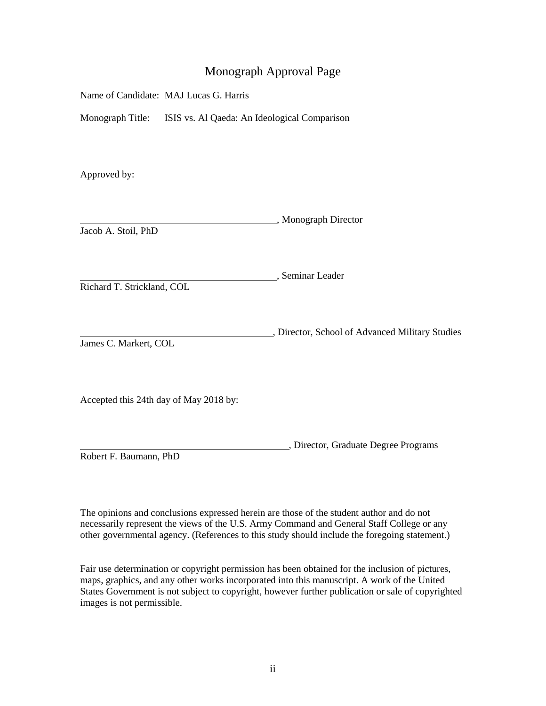## Monograph Approval Page

| Name of Candidate: MAJ Lucas G. Harris |  |  |
|----------------------------------------|--|--|
|----------------------------------------|--|--|

Monograph Title: ISIS vs. Al Qaeda: An Ideological Comparison

Approved by:

|                     | Monograph Director |
|---------------------|--------------------|
| Jacob A. Stoil, PhD |                    |

, Seminar Leader Richard T. Strickland, COL

, Director, School of Advanced Military Studies James C. Markert, COL

Accepted this 24th day of May 2018 by:

, Director, Graduate Degree Programs

Robert F. Baumann, PhD

 The opinions and conclusions expressed herein are those of the student author and do not necessarily represent the views of the U.S. Army Command and General Staff College or any other governmental agency. (References to this study should include the foregoing statement.)

 Fair use determination or copyright permission has been obtained for the inclusion of pictures, maps, graphics, and any other works incorporated into this manuscript. A work of the United States Government is not subject to copyright, however further publication or sale of copyrighted images is not permissible.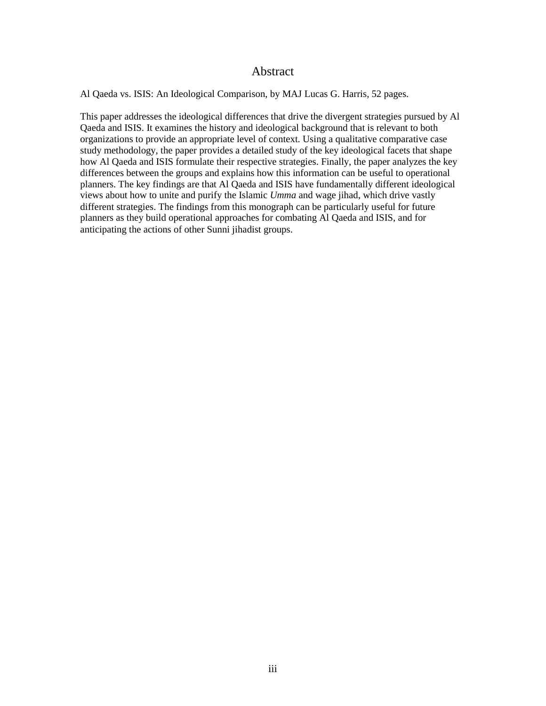## Abstract

<span id="page-3-0"></span>Al Qaeda vs. ISIS: An Ideological Comparison, by MAJ Lucas G. Harris, 52 pages.

 study methodology, the paper provides a detailed study of the key ideological facets that shape differences between the groups and explains how this information can be useful to operational views about how to unite and purify the Islamic *Umma* and wage jihad, which drive vastly planners as they build operational approaches for combating Al Qaeda and ISIS, and for This paper addresses the ideological differences that drive the divergent strategies pursued by Al Qaeda and ISIS. It examines the history and ideological background that is relevant to both organizations to provide an appropriate level of context. Using a qualitative comparative case how Al Qaeda and ISIS formulate their respective strategies. Finally, the paper analyzes the key planners. The key findings are that Al Qaeda and ISIS have fundamentally different ideological different strategies. The findings from this monograph can be particularly useful for future anticipating the actions of other Sunni jihadist groups.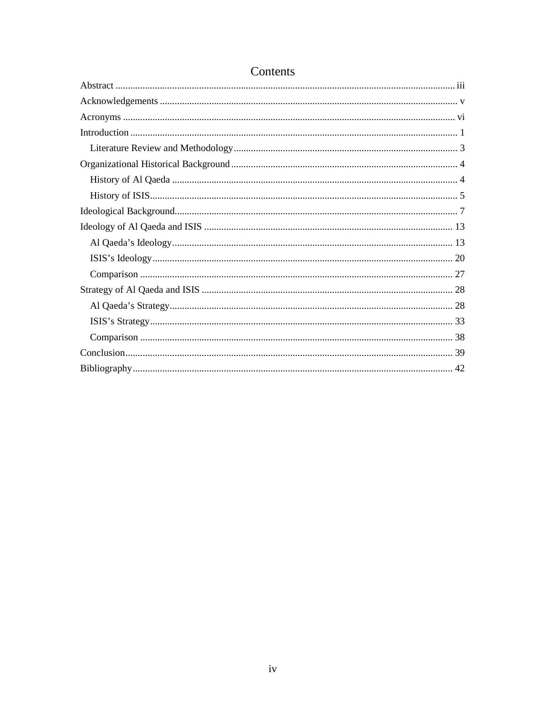## Contents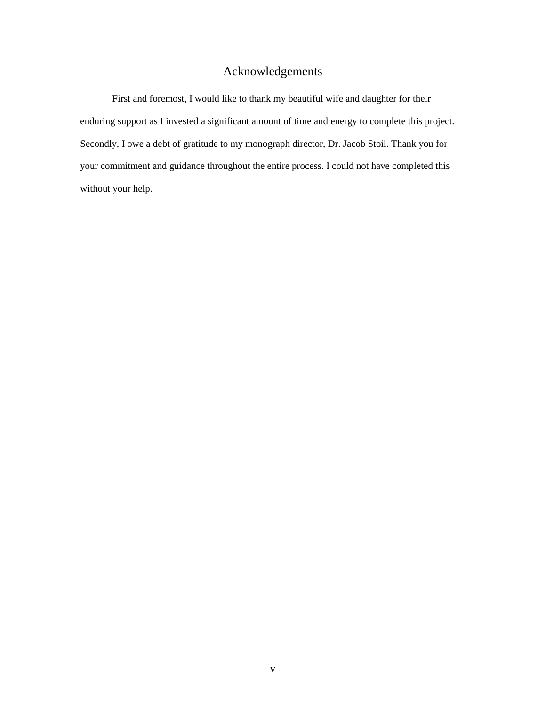## Acknowledgements

<span id="page-5-0"></span> First and foremost, I would like to thank my beautiful wife and daughter for their Secondly, I owe a debt of gratitude to my monograph director, Dr. Jacob Stoil. Thank you for enduring support as I invested a significant amount of time and energy to complete this project. your commitment and guidance throughout the entire process. I could not have completed this without your help.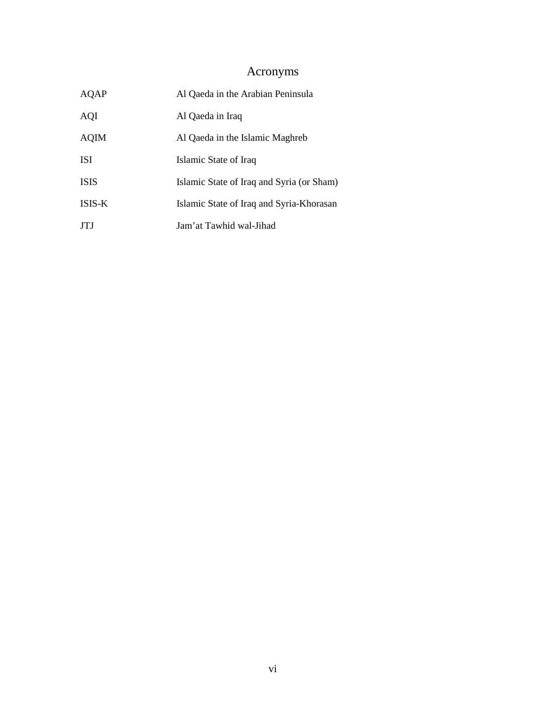# Acronyms

<span id="page-6-0"></span>

| AQAP        | Al Qaeda in the Arabian Peninsula         |
|-------------|-------------------------------------------|
| AQI         | Al Qaeda in Iraq                          |
| <b>AQIM</b> | Al Qaeda in the Islamic Maghreb           |
| <b>ISI</b>  | Islamic State of Iraq                     |
| <b>ISIS</b> | Islamic State of Iraq and Syria (or Sham) |
| ISIS-K      | Islamic State of Iraq and Syria-Khorasan  |
| <b>JTJ</b>  | Jam'at Tawhid wal-Jihad                   |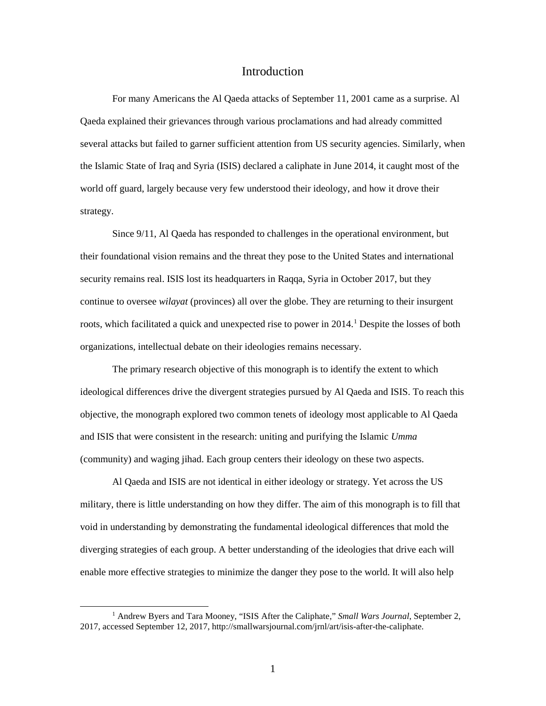## Introduction

<span id="page-7-0"></span> several attacks but failed to garner sufficient attention from US security agencies. Similarly, when the Islamic State of Iraq and Syria (ISIS) declared a caliphate in June 2014, it caught most of the world off guard, largely because very few understood their ideology, and how it drove their For many Americans the Al Qaeda attacks of September 11, 2001 came as a surprise. Al Qaeda explained their grievances through various proclamations and had already committed strategy.

 continue to oversee *wilayat* (provinces) all over the globe. They are returning to their insurgent roots, which facilitated a quick and unexpected rise to power in 2014. [1](#page-7-1) Despite the losses of both Since 9/11, Al Qaeda has responded to challenges in the operational environment, but their foundational vision remains and the threat they pose to the United States and international security remains real. ISIS lost its headquarters in Raqqa, Syria in October 2017, but they organizations, intellectual debate on their ideologies remains necessary.

 ideological differences drive the divergent strategies pursued by Al Qaeda and ISIS. To reach this The primary research objective of this monograph is to identify the extent to which objective, the monograph explored two common tenets of ideology most applicable to Al Qaeda and ISIS that were consistent in the research: uniting and purifying the Islamic *Umma*  (community) and waging jihad. Each group centers their ideology on these two aspects.

 Al Qaeda and ISIS are not identical in either ideology or strategy. Yet across the US military, there is little understanding on how they differ. The aim of this monograph is to fill that void in understanding by demonstrating the fundamental ideological differences that mold the diverging strategies of each group. A better understanding of the ideologies that drive each will enable more effective strategies to minimize the danger they pose to the world. It will also help

<span id="page-7-1"></span><sup>&</sup>lt;sup>1</sup> Andrew Byers and Tara Mooney, "ISIS After the Caliphate," *Small Wars Journal*, September 2, 2017, accessed September 12, 2017, [http://smallwarsjournal.com/jrnl/art/isis-after-the-caliphate.](http://smallwarsjournal.com/jrnl/art/isis-after-the-caliphate)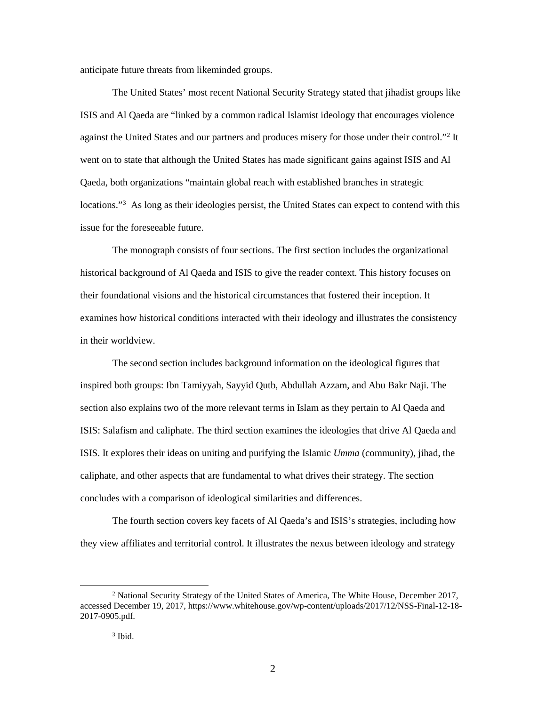anticipate future threats from likeminded groups.

 went on to state that although the United States has made significant gains against ISIS and Al Qaeda, both organizations "maintain global reach with established branches in strategic locations."<sup>[3](#page-8-1)</sup> As long as their ideologies persist, the United States can expect to contend with this The United States' most recent National Security Strategy stated that jihadist groups like ISIS and Al Qaeda are "linked by a common radical Islamist ideology that encourages violence against the United States and our partners and produces misery for those under their control."<sup>2</sup> It issue for the foreseeable future.

 The monograph consists of four sections. The first section includes the organizational historical background of Al Qaeda and ISIS to give the reader context. This history focuses on their foundational visions and the historical circumstances that fostered their inception. It examines how historical conditions interacted with their ideology and illustrates the consistency in their worldview.

 section also explains two of the more relevant terms in Islam as they pertain to Al Qaeda and ISIS. It explores their ideas on uniting and purifying the Islamic *Umma* (community), jihad, the The second section includes background information on the ideological figures that inspired both groups: Ibn Tamiyyah, Sayyid Qutb, Abdullah Azzam, and Abu Bakr Naji. The ISIS: Salafism and caliphate. The third section examines the ideologies that drive Al Qaeda and caliphate, and other aspects that are fundamental to what drives their strategy. The section concludes with a comparison of ideological similarities and differences.

The fourth section covers key facets of Al Qaeda's and ISIS's strategies, including how they view affiliates and territorial control. It illustrates the nexus between ideology and strategy

 $\overline{a}$ 

<span id="page-8-1"></span><span id="page-8-0"></span><sup>&</sup>lt;sup>2</sup> National Security Strategy of the United States of America, The White House, December 2017, accessed December 19, 2017,<https://www.whitehouse.gov/wp-content/uploads/2017/12/NSS-Final-12-18>- 2017-0905.pdf.

 $3$  Ibid.  $3$  Ibid.  $2$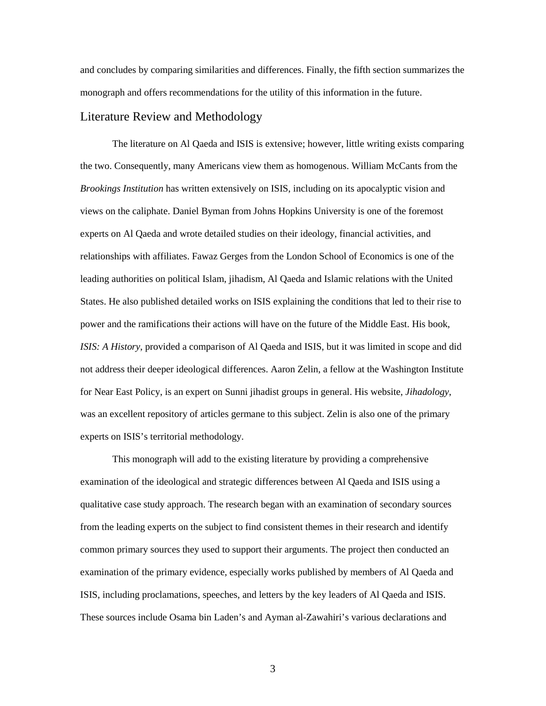<span id="page-9-0"></span> and concludes by comparing similarities and differences. Finally, the fifth section summarizes the monograph and offers recommendations for the utility of this information in the future.

## Literature Review and Methodology

 the two. Consequently, many Americans view them as homogenous. William McCants from the experts on Al Qaeda and wrote detailed studies on their ideology, financial activities, and relationships with affiliates. Fawaz Gerges from the London School of Economics is one of the States. He also published detailed works on ISIS explaining the conditions that led to their rise to not address their deeper ideological differences. Aaron Zelin, a fellow at the Washington Institute for Near East Policy, is an expert on Sunni jihadist groups in general. His website, *Jihadology*, The literature on Al Qaeda and ISIS is extensive; however, little writing exists comparing *Brookings Institution* has written extensively on ISIS, including on its apocalyptic vision and views on the caliphate. Daniel Byman from Johns Hopkins University is one of the foremost leading authorities on political Islam, jihadism, Al Qaeda and Islamic relations with the United power and the ramifications their actions will have on the future of the Middle East. His book, *ISIS: A History*, provided a comparison of Al Qaeda and ISIS, but it was limited in scope and did was an excellent repository of articles germane to this subject. Zelin is also one of the primary experts on ISIS's territorial methodology.

 common primary sources they used to support their arguments. The project then conducted an This monograph will add to the existing literature by providing a comprehensive examination of the ideological and strategic differences between Al Qaeda and ISIS using a qualitative case study approach. The research began with an examination of secondary sources from the leading experts on the subject to find consistent themes in their research and identify examination of the primary evidence, especially works published by members of Al Qaeda and ISIS, including proclamations, speeches, and letters by the key leaders of Al Qaeda and ISIS. These sources include Osama bin Laden's and Ayman al-Zawahiri's various declarations and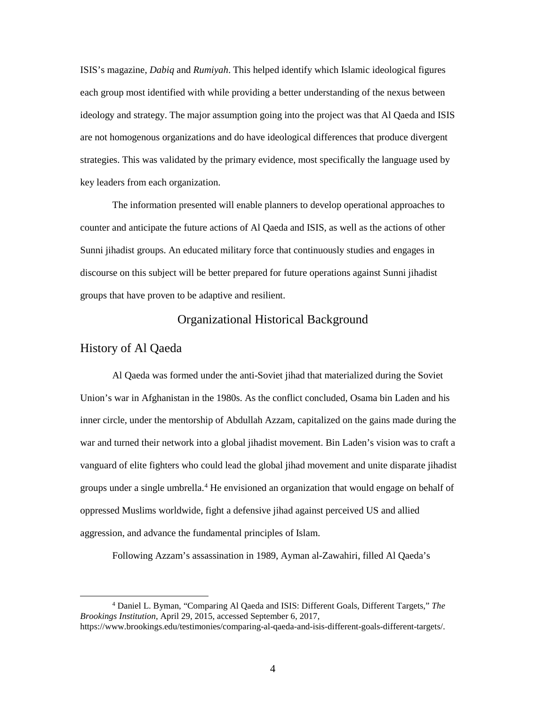<span id="page-10-0"></span> each group most identified with while providing a better understanding of the nexus between ideology and strategy. The major assumption going into the project was that Al Qaeda and ISIS key leaders from each organization. key leaders from each organization. The information presented will enable planners to develop operational approaches to ISIS's magazine, *Dabiq* and *Rumiyah*. This helped identify which Islamic ideological figures are not homogenous organizations and do have ideological differences that produce divergent strategies. This was validated by the primary evidence, most specifically the language used by

 counter and anticipate the future actions of Al Qaeda and ISIS, as well as the actions of other Sunni jihadist groups. An educated military force that continuously studies and engages in discourse on this subject will be better prepared for future operations against Sunni jihadist groups that have proven to be adaptive and resilient.

## Organizational Historical Background

## History of Al Qaeda

<u>.</u>

 Union's war in Afghanistan in the 1980s. As the conflict concluded, Osama bin Laden and his inner circle, under the mentorship of Abdullah Azzam, capitalized on the gains made during the war and turned their network into a global jihadist movement. Bin Laden's vision was to craft a vanguard of elite fighters who could lead the global jihad movement and unite disparate jihadist groups under a single umbrella.<sup>4</sup> He envisioned an organization that would engage on behalf of Al Qaeda was formed under the anti-Soviet jihad that materialized during the Soviet oppressed Muslims worldwide, fight a defensive jihad against perceived US and allied aggression, and advance the fundamental principles of Islam.

Following Azzam's assassination in 1989, Ayman al-Zawahiri, filled Al Qaeda's

<span id="page-10-1"></span> 4 Daniel L. Byman, "Comparing Al Qaeda and ISIS: Different Goals, Different Targets," *The Brookings Institution*, April 29, 2015, accessed September 6, 2017,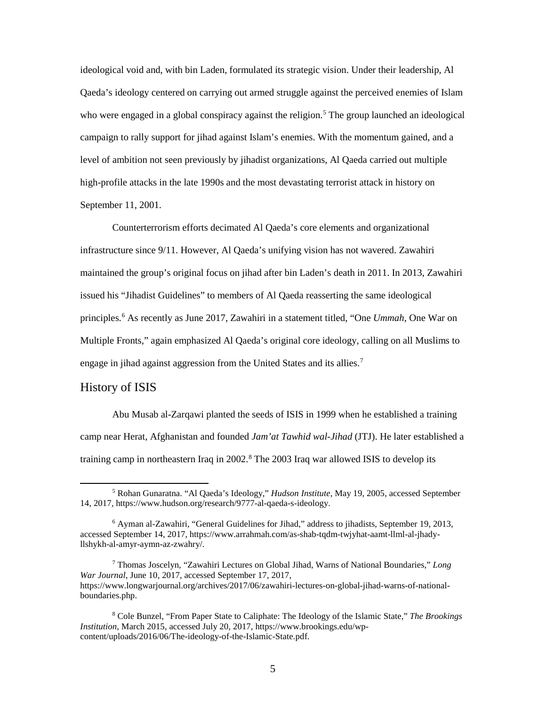<span id="page-11-0"></span> ideological void and, with bin Laden, formulated its strategic vision. Under their leadership, Al campaign to rally support for jihad against Islam's enemies. With the momentum gained, and a Qaeda's ideology centered on carrying out armed struggle against the perceived enemies of Islam who were engaged in a global conspiracy against the religion.<sup>5</sup> The group launched an ideological level of ambition not seen previously by jihadist organizations, Al Qaeda carried out multiple high-profile attacks in the late 1990s and the most devastating terrorist attack in history on September 11, 2001.

 maintained the group's original focus on jihad after bin Laden's death in 2011. In 2013, Zawahiri engage in jihad against aggression from the United States and its allies.<sup>[7](#page-11-3)</sup> Counterterrorism efforts decimated Al Qaeda's core elements and organizational infrastructure since 9/11. However, Al Qaeda's unifying vision has not wavered. Zawahiri issued his "Jihadist Guidelines" to members of Al Qaeda reasserting the same ideological principles. [6](#page-11-2) As recently as June 2017, Zawahiri in a statement titled, "One *Ummah*, One War on Multiple Fronts," again emphasized Al Qaeda's original core ideology, calling on all Muslims to

## History of ISIS

<u>.</u>

training camp in northeastern Iraq in 2002.<sup>[8](#page-11-4)</sup> The 2003 Iraq war allowed ISIS to develop its Abu Musab al-Zarqawi planted the seeds of ISIS in 1999 when he established a training camp near Herat, Afghanistan and founded *Jam'at Tawhid wal-Jihad* (JTJ). He later established a

<span id="page-11-3"></span>7 Thomas Joscelyn, "Zawahiri Lectures on Global Jihad, Warns of National Boundaries," *Long War Journal*, June 10, 2017, accessed September 17, 2017, <https://www.longwarjournal.org/archives/2017/06/zawahiri-lectures-on-global-jihad-warns-of-national>boundaries.php.

<span id="page-11-1"></span> 5 Rohan Gunaratna. "Al Qaeda's Ideology," *Hudson Institute*, May 19, 2005, accessed September 14, 2017,<https://www.hudson.org/research/9777-al-qaeda-s-ideology>.

<span id="page-11-2"></span><sup>6</sup> Ayman al-Zawahiri, "General Guidelines for Jihad," address to jihadists, September 19, 2013, accessed September 14, 2017, <https://www.arrahmah.com/as-shab-tqdm-twjyhat-aamt-llml-al-jhady>llshykh-al-amyr-aymn-az-zwahry/.

<span id="page-11-4"></span><sup>8</sup> Cole Bunzel, "From Paper State to Caliphate: The Ideology of the Islamic State," *The Brookings Institution*, March 2015, accessed July 20, 2017,<https://www.brookings.edu/wp>content/uploads/2016/06/The-ideology-of-the-Islamic-State.pdf.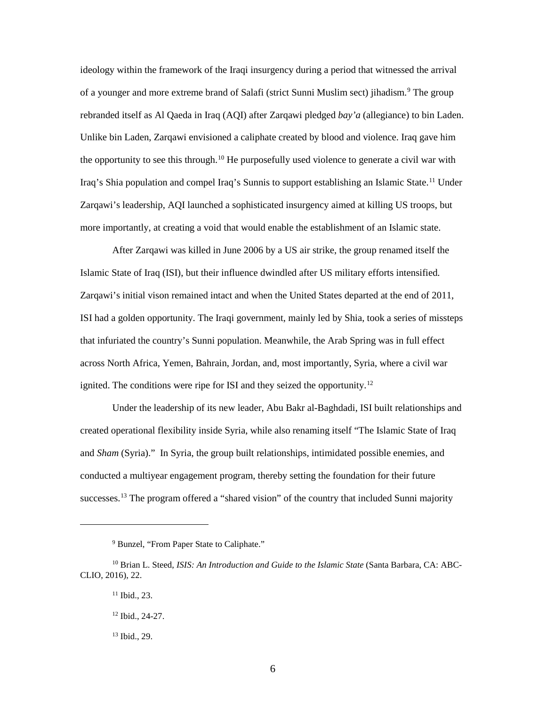Unlike bin Laden, Zarqawi envisioned a caliphate created by blood and violence. Iraq gave him Iraq's Shia population and compel Iraq's Sunnis to support establishing an Islamic State.<sup>[11](#page-12-2)</sup> Under ideology within the framework of the Iraqi insurgency during a period that witnessed the arrival of a younger and more extreme brand of Salafi (strict Sunni Muslim sect) jihadism. [9](#page-12-0) The group rebranded itself as Al Qaeda in Iraq (AQI) after Zarqawi pledged *bay'a* (allegiance) to bin Laden. the opportunity to see this through.<sup>10</sup> He purposefully used violence to generate a civil war with Zarqawi's leadership, AQI launched a sophisticated insurgency aimed at killing US troops, but more importantly, at creating a void that would enable the establishment of an Islamic state.

 After Zarqawi was killed in June 2006 by a US air strike, the group renamed itself the Zarqawi's initial vison remained intact and when the United States departed at the end of 2011, ISI had a golden opportunity. The Iraqi government, mainly led by Shia, took a series of missteps Islamic State of Iraq (ISI), but their influence dwindled after US military efforts intensified. that infuriated the country's Sunni population. Meanwhile, the Arab Spring was in full effect across North Africa, Yemen, Bahrain, Jordan, and, most importantly, Syria, where a civil war ignited. The conditions were ripe for ISI and they seized the opportunity.<sup>12</sup>

 and *Sham* (Syria)." In Syria, the group built relationships, intimidated possible enemies, and conducted a multiyear engagement program, thereby setting the foundation for their future successes.<sup>[13](#page-12-4)</sup> The program offered a "shared vision" of the country that included Sunni majority Under the leadership of its new leader, Abu Bakr al-Baghdadi, ISI built relationships and created operational flexibility inside Syria, while also renaming itself "The Islamic State of Iraq

 $\overline{a}$ 

<sup>&</sup>lt;sup>9</sup> Bunzel, "From Paper State to Caliphate."

<span id="page-12-4"></span><span id="page-12-3"></span><span id="page-12-2"></span><span id="page-12-1"></span><span id="page-12-0"></span><sup>&</sup>lt;sup>10</sup> Brian L. Steed, *ISIS: An Introduction and Guide to the Islamic State* (Santa Barbara, CA: ABC-CLIO, 2016), 22.

 $11$  Ibid., 23.

 12 Ibid., 24-27.

 13 Ibid., 29.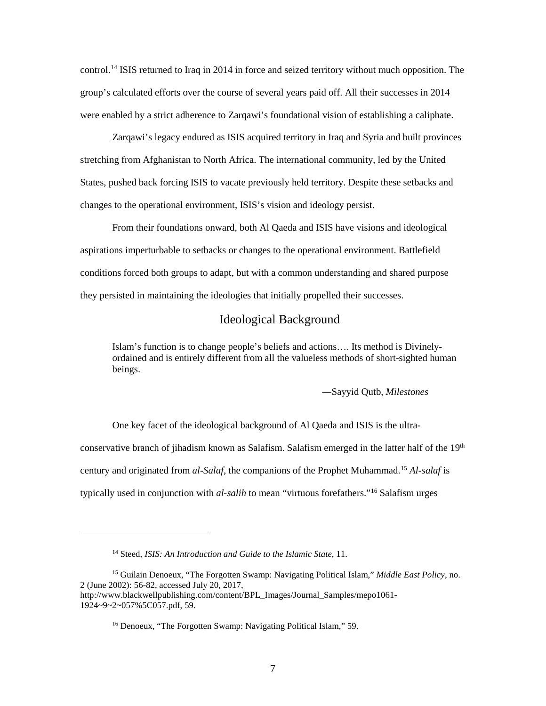<span id="page-13-0"></span> group's calculated efforts over the course of several years paid off. All their successes in 2014 control[.14](#page-13-1) ISIS returned to Iraq in 2014 in force and seized territory without much opposition. The were enabled by a strict adherence to Zarqawi's foundational vision of establishing a caliphate.

 States, pushed back forcing ISIS to vacate previously held territory. Despite these setbacks and changes to the operational environment, ISIS's vision and ideology persist. Zarqawi's legacy endured as ISIS acquired territory in Iraq and Syria and built provinces stretching from Afghanistan to North Africa. The international community, led by the United

 From their foundations onward, both Al Qaeda and ISIS have visions and ideological aspirations imperturbable to setbacks or changes to the operational environment. Battlefield they persisted in maintaining the ideologies that initially propelled their successes. conditions forced both groups to adapt, but with a common understanding and shared purpose

## Ideological Background

 ordained and is entirely different from all the valueless methods of short-sighted human Islam's function is to change people's beliefs and actions…. Its method is Divinelybeings.

―Sayyid Qutb, *Milestones* 

conservative branch of jihadism known as Salafism. Salafism emerged in the latter half of the 19<sup>th</sup> century and originated from *al-Salaf*, the companions of the Prophet Muhammad.[15](#page-13-2) *Al-salaf* is One key facet of the ideological background of Al Qaeda and ISIS is the ultratypically used in conjunction with *al-salih* to mean "virtuous forefathers."[16](#page-13-3) Salafism urges

<sup>14</sup> Steed, *ISIS: An Introduction and Guide to the Islamic State*, 11.

<span id="page-13-3"></span><span id="page-13-2"></span><span id="page-13-1"></span><sup>15</sup> Guilain Denoeux, "The Forgotten Swamp: Navigating Political Islam," *Middle East Policy*, no. 2 (June 2002): 56-82, accessed July 20, 2017, [http://www.blackwellpublishing.com/content/BPL\\_Images/Journal\\_Samples/mepo1061](http://www.blackwellpublishing.com/content/BPL_Images/Journal_Samples/mepo1061)- 1924~9~2~057%5C057.pdf, 59.

<sup>16</sup> Denoeux, "The Forgotten Swamp: Navigating Political Islam," 59.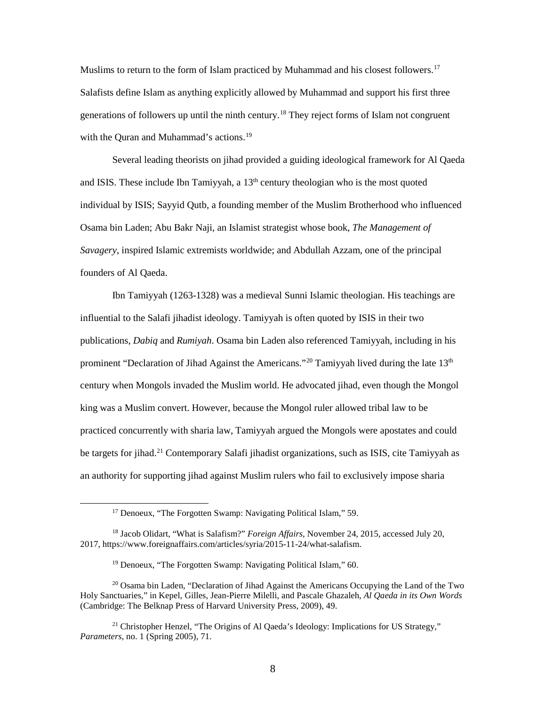generations of followers up until the ninth century.<sup>[18](#page-14-1)</sup> They reject forms of Islam not congruent with the Quran and Muhammad's actions.<sup>19</sup> Muslims to return to the form of Islam practiced by Muhammad and his closest followers.<sup>17</sup> Salafists define Islam as anything explicitly allowed by Muhammad and support his first three

and ISIS. These include Ibn Tamiyyah, a  $13<sup>th</sup>$  century theologian who is the most quoted  Osama bin Laden; Abu Bakr Naji, an Islamist strategist whose book, *The Management of*  Several leading theorists on jihad provided a guiding ideological framework for Al Qaeda individual by ISIS; Sayyid Qutb, a founding member of the Muslim Brotherhood who influenced *Savagery*, inspired Islamic extremists worldwide; and Abdullah Azzam, one of the principal founders of Al Qaeda.

 Ibn Tamiyyah (1263-1328) was a medieval Sunni Islamic theologian. His teachings are influential to the Salafi jihadist ideology. Tamiyyah is often quoted by ISIS in their two prominent "Declaration of Jihad Against the Americans."<sup>20</sup> Tamiyyah lived during the late  $13<sup>th</sup>$  century when Mongols invaded the Muslim world. He advocated jihad, even though the Mongol king was a Muslim convert. However, because the Mongol ruler allowed tribal law to be practiced concurrently with sharia law, Tamiyyah argued the Mongols were apostates and could publications, *Dabiq* and *Rumiyah*. Osama bin Laden also referenced Tamiyyah, including in his be targets for jihad.<sup>[21](#page-14-4)</sup> Contemporary Salafi jihadist organizations, such as ISIS, cite Tamiyyah as an authority for supporting jihad against Muslim rulers who fail to exclusively impose sharia

<sup>17</sup> Denoeux, "The Forgotten Swamp: Navigating Political Islam," 59.

<span id="page-14-1"></span><span id="page-14-0"></span><sup>18</sup> Jacob Olidart, "What is Salafism?" *Foreign Affairs*, November 24, 2015, accessed July 20, 2017,<https://www.foreignaffairs.com/articles/syria/2015-11-24/what-salafism>.

<sup>&</sup>lt;sup>19</sup> Denoeux, "The Forgotten Swamp: Navigating Political Islam," 60.

<span id="page-14-3"></span><span id="page-14-2"></span> (Cambridge: The Belknap Press of Harvard University Press, 2009), 49.  $^{20}$  Osama bin Laden, "Declaration of Jihad Against the Americans Occupying the Land of the Two Holy Sanctuaries," in Kepel, Gilles, Jean-Pierre Milelli, and Pascale Ghazaleh, *Al Qaeda in its Own Words* 

<span id="page-14-4"></span><sup>&</sup>lt;sup>21</sup> Christopher Henzel, "The Origins of Al Qaeda's Ideology: Implications for US Strategy," *Parameters*, no. 1 (Spring 2005), 71.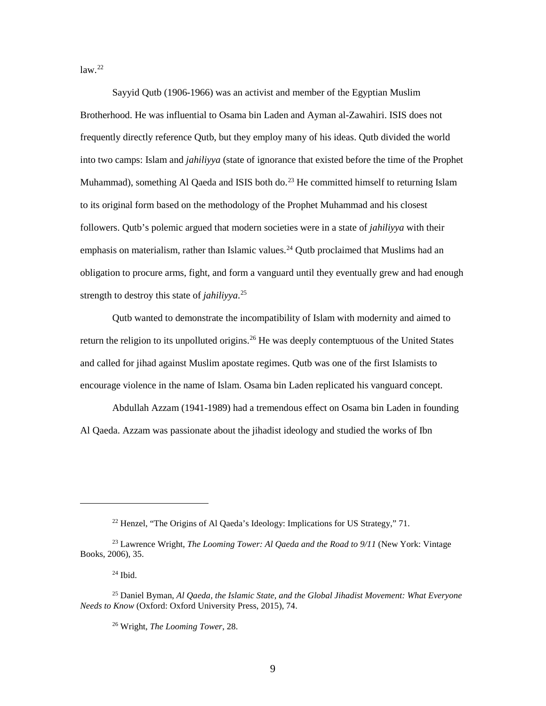$law.<sup>22</sup>$  $law.<sup>22</sup>$  $law.<sup>22</sup>$ 

 Sayyid Qutb (1906-1966) was an activist and member of the Egyptian Muslim frequently directly reference Qutb, but they employ many of his ideas. Qutb divided the world into two camps: Islam and *jahiliyya* (state of ignorance that existed before the time of the Prophet Muhammad), something Al Qaeda and ISIS both do.<sup>[23](#page-15-1)</sup> He committed himself to returning Islam followers. Qutb's polemic argued that modern societies were in a state of *jahiliyya* with their obligation to procure arms, fight, and form a vanguard until they eventually grew and had enough Brotherhood. He was influential to Osama bin Laden and Ayman al-Zawahiri. ISIS does not to its original form based on the methodology of the Prophet Muhammad and his closest emphasis on materialism, rather than Islamic values.<sup>[24](#page-15-2)</sup> Qutb proclaimed that Muslims had an strength to destroy this state of *jahiliyya*. [25](#page-15-3) 

return the religion to its unpolluted origins.<sup>[26](#page-15-4)</sup> He was deeply contemptuous of the United States and called for jihad against Muslim apostate regimes. Qutb was one of the first Islamists to encourage violence in the name of Islam. Osama bin Laden replicated his vanguard concept. Qutb wanted to demonstrate the incompatibility of Islam with modernity and aimed to

 encourage violence in the name of Islam. Osama bin Laden replicated his vanguard concept. Abdullah Azzam (1941-1989) had a tremendous effect on Osama bin Laden in founding Al Qaeda. Azzam was passionate about the jihadist ideology and studied the works of Ibn

<sup>&</sup>lt;sup>22</sup> Henzel, "The Origins of Al Qaeda's Ideology: Implications for US Strategy," 71.

<span id="page-15-1"></span><span id="page-15-0"></span><sup>23</sup> Lawrence Wright, *The Looming Tower: Al Qaeda and the Road to 9/11* (New York: Vintage Books, 2006), 35.

 24 Ibid.

<span id="page-15-4"></span><span id="page-15-3"></span><span id="page-15-2"></span><sup>25</sup> Daniel Byman, *Al Qaeda, the Islamic State, and the Global Jihadist Movement: What Everyone Needs to Know* (Oxford: Oxford University Press, 2015), 74.

<sup>26</sup> Wright, *The Looming Tower*, 28.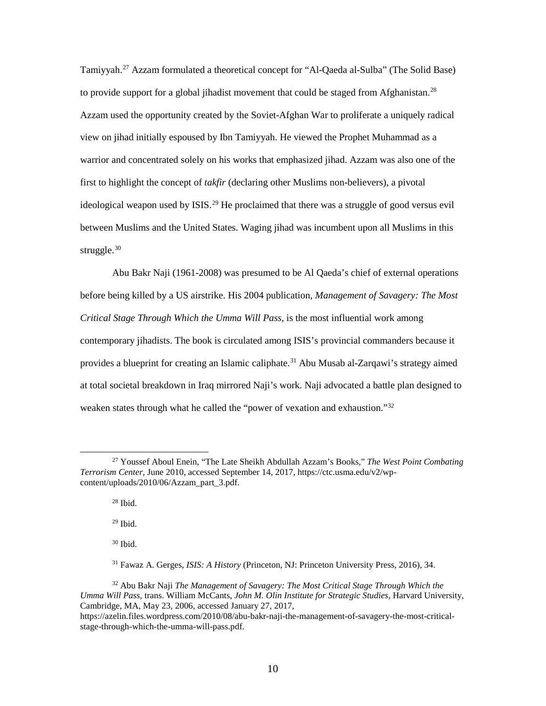Tamiyyah.<sup>27</sup> Azzam formulated a theoretical concept for "Al-Qaeda al-Sulba" (The Solid Base) view on jihad initially espoused by Ibn Tamiyyah. He viewed the Prophet Muhammad as a struggle.<sup>30</sup> to provide support for a global jihadist movement that could be staged from Afghanistan.<sup>28</sup> Azzam used the opportunity created by the Soviet-Afghan War to proliferate a uniquely radical warrior and concentrated solely on his works that emphasized jihad. Azzam was also one of the first to highlight the concept of *takfir* (declaring other Muslims non-believers), a pivotal ideological weapon used by ISIS.<sup>[29](#page-16-2)</sup> He proclaimed that there was a struggle of good versus evil between Muslims and the United States. Waging jihad was incumbent upon all Muslims in this

 contemporary jihadists. The book is circulated among ISIS's provincial commanders because it provides a blueprint for creating an Islamic caliphate. [31](#page-16-4) Abu Musab al-Zarqawi's strategy aimed at total societal breakdown in Iraq mirrored Naji's work. Naji advocated a battle plan designed to weaken states through what he called the "power of vexation and exhaustion."<sup>[32](#page-16-5)</sup> Abu Bakr Naji (1961-2008) was presumed to be Al Qaeda's chief of external operations before being killed by a US airstrike. His 2004 publication, *Management of Savagery: The Most Critical Stage Through Which the Umma Will Pass*, is the most influential work among

 $28$  Ibid.

 $\overline{a}$ 

29 Ibid.

30 Ibid.

<span id="page-16-2"></span><span id="page-16-1"></span><span id="page-16-0"></span> 27 Youssef Aboul Enein, "The Late Sheikh Abdullah Azzam's Books," *The West Point Combating Terrorism Center,* June 2010, accessed September 14, 2017, <https://ctc.usma.edu/v2/wp>content/uploads/2010/06/Azzam\_part\_3.pdf.

<sup>31</sup> Fawaz A. Gerges, *ISIS: A History* (Princeton, NJ: Princeton University Press, 2016), 34.

<span id="page-16-5"></span><span id="page-16-4"></span><span id="page-16-3"></span> 32 Abu Bakr Naji *The Management of Savagery: The Most Critical Stage Through Which the Umma Will Pass,* trans. William McCants, *John M. Olin Institute for Strategic Studies*, Harvard University, Cambridge, MA, May 23, 2006, accessed January 27, 2017,

<span id="page-16-6"></span><https://azelin.files.wordpress.com/2010/08/abu-bakr-naji-the-management-of-savagery-the-most-critical>stage-through-which-the-umma-will-pass.pdf.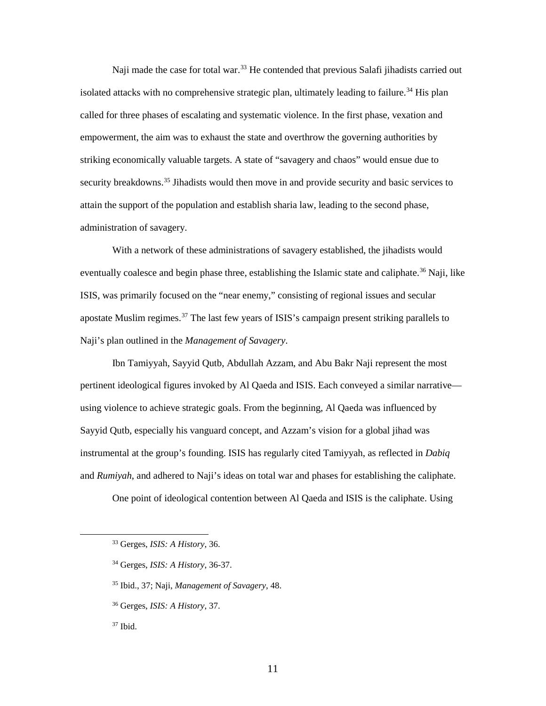Naji made the case for total war.<sup>33</sup> He contended that previous Salafi jihadists carried out called for three phases of escalating and systematic violence. In the first phase, vexation and empowerment, the aim was to exhaust the state and overthrow the governing authorities by attain the support of the population and establish sharia law, leading to the second phase, isolated attacks with no comprehensive strategic plan, ultimately leading to failure.<sup>34</sup> His plan striking economically valuable targets. A state of "savagery and chaos" would ensue due to security breakdowns.<sup>35</sup> Jihadists would then move in and provide security and basic services to administration of savagery.

 ISIS, was primarily focused on the "near enemy," consisting of regional issues and secular With a network of these administrations of savagery established, the jihadists would eventually coalesce and begin phase three, establishing the Islamic state and caliphate.<sup>36</sup> Naji, like apostate Muslim regimes.<sup>37</sup> The last few years of ISIS's campaign present striking parallels to Naji's plan outlined in the *Management of Savagery*.

 Ibn Tamiyyah, Sayyid Qutb, Abdullah Azzam, and Abu Bakr Naji represent the most pertinent ideological figures invoked by Al Qaeda and ISIS. Each conveyed a similar narrative— using violence to achieve strategic goals. From the beginning, Al Qaeda was influenced by Sayyid Qutb, especially his vanguard concept, and Azzam's vision for a global jihad was and *Rumiyah*, and adhered to Naji's ideas on total war and phases for establishing the caliphate. instrumental at the group's founding. ISIS has regularly cited Tamiyyah, as reflected in *Dabiq* 

One point of ideological contention between Al Qaeda and ISIS is the caliphate. Using

<span id="page-17-2"></span><span id="page-17-1"></span><span id="page-17-0"></span> $\overline{a}$ 

<sup>&</sup>lt;sup>33</sup> Gerges, *ISIS: A History*, 36.

<sup>33</sup> Gerges, *ISIS: A History*, 36. 34 Gerges, *ISIS: A History*, 36-37.

 35 Ibid., 37; Naji, *Management of Savagery*, 48.

<sup>36</sup> Gerges, *ISIS: A History*, 37.

<span id="page-17-3"></span> 37 Ibid.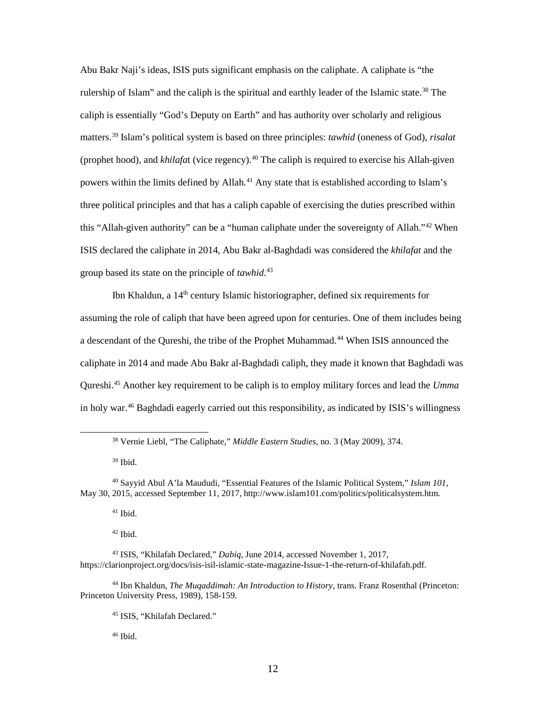Abu Bakr Naji's ideas, ISIS puts significant emphasis on the caliphate. A caliphate is "the rulership of Islam" and the caliph is the spiritual and earthly leader of the Islamic state.<sup>38</sup> The caliph is essentially "God's Deputy on Earth" and has authority over scholarly and religious matters. [39](#page-18-1) Islam's political system is based on three principles: *tawhid* (oneness of God), *risalat*  (prophet hood), and *khilafa*t (vice regency).<sup>40</sup> The caliph is required to exercise his Allah-given powers within the limits defined by Allah.<sup>41</sup> Any state that is established according to Islam's three political principles and that has a caliph capable of exercising the duties prescribed within this "Allah-given authority" can be a "human caliphate under the sovereignty of Allah."<sup>42</sup> When ISIS declared the caliphate in 2014, Abu Bakr al-Baghdadi was considered the *khilafat* and the group based its state on the principle of *tawhid*. [43](#page-18-5)

Ibn Khaldun, a 14<sup>th</sup> century Islamic historiographer, defined six requirements for assuming the role of caliph that have been agreed upon for centuries. One of them includes being a descendant of the Qureshi, the tribe of the Prophet Muhammad.<sup>[44](#page-18-6)</sup> When ISIS announced the Qureshi.[45](#page-18-7) Another key requirement to be caliph is to employ military forces and lead the *Umma*  in holy war. [46](#page-18-8) Baghdadi eagerly carried out this responsibility, as indicated by ISIS's willingness caliphate in 2014 and made Abu Bakr al-Baghdadi caliph, they made it known that Baghdadi was

<span id="page-18-0"></span> $\overline{a}$ 

41 Ibid.

 $42$  Ibid.

46 Ibid.

<sup>38</sup> Vernie Liebl, "The Caliphate," *Middle Eastern Studies*, no. 3 (May 2009), 374.

 39 Ibid.

<span id="page-18-3"></span><span id="page-18-2"></span><span id="page-18-1"></span><sup>40</sup> Sayyid Abul A'la Maududi, "Essential Features of the Islamic Political System," *Islam 101*, May 30, 2015, accessed September 11, 2017, [http://www.islam101.com/politics/politicalsystem.htm.](http://www.islam101.com/politics/politicalsystem.htm)

<span id="page-18-5"></span><span id="page-18-4"></span><sup>43</sup> ISIS, "Khilafah Declared," *Dabiq*, June 2014, accessed November 1, 2017, [https://clarionproject.org/docs/isis-isil-islamic-state-magazine-Issue-1-the-return-of-khilafah.pdf.](https://clarionproject.org/docs/isis-isil-islamic-state-magazine-Issue-1-the-return-of-khilafah.pdf)

<span id="page-18-8"></span><span id="page-18-7"></span><span id="page-18-6"></span><sup>44</sup> Ibn Khaldun, *The Muqaddimah: An Introduction to History*, trans. Franz Rosenthal (Princeton: Princeton University Press, 1989), 158-159.

<sup>45</sup> ISIS, "Khilafah Declared."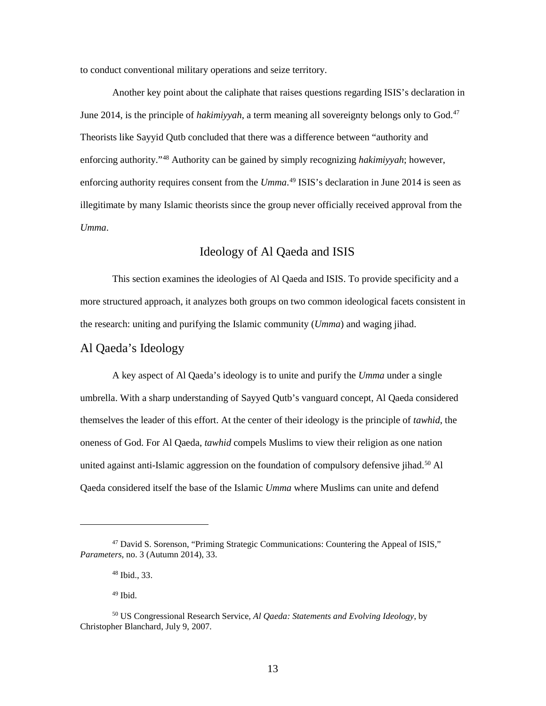<span id="page-19-0"></span>to conduct conventional military operations and seize territory.

June 2014, is the principle of *hakimiyyah*, a term meaning all sovereignty belongs only to God.<sup>47</sup> Theorists like Sayyid Qutb concluded that there was a difference between "authority and enforcing authority requires consent from the *Umma*. [49](#page-19-3) ISIS's declaration in June 2014 is seen as illegitimate by many Islamic theorists since the group never officially received approval from the Another key point about the caliphate that raises questions regarding ISIS's declaration in enforcing authority."[48](#page-19-2) Authority can be gained by simply recognizing *hakimiyyah*; however, *Umma*.

## Ideology of Al Qaeda and ISIS

 This section examines the ideologies of Al Qaeda and ISIS. To provide specificity and a more structured approach, it analyzes both groups on two common ideological facets consistent in the research: uniting and purifying the Islamic community (*Umma*) and waging jihad. Al Qaeda's Ideology

 A key aspect of Al Qaeda's ideology is to unite and purify the *Umma* under a single themselves the leader of this effort. At the center of their ideology is the principle of *tawhid*, the Qaeda considered itself the base of the Islamic *Umma* where Muslims can unite and defend umbrella. With a sharp understanding of Sayyed Qutb's vanguard concept, Al Qaeda considered oneness of God. For Al Qaeda, *tawhid* compels Muslims to view their religion as one nation united against anti-Islamic aggression on the foundation of compulsory defensive jihad.<sup>[50](#page-19-4)</sup> Al

-

<span id="page-19-2"></span><span id="page-19-1"></span><sup>47</sup> David S. Sorenson, "Priming Strategic Communications: Countering the Appeal of ISIS," *Parameters*, no. 3 (Autumn 2014), 33.

 48 Ibid., 33.

 $49$  Ibid.

<span id="page-19-4"></span><span id="page-19-3"></span><sup>50</sup> US Congressional Research Service, *Al Qaeda: Statements and Evolving Ideology*, by Christopher Blanchard, July 9, 2007.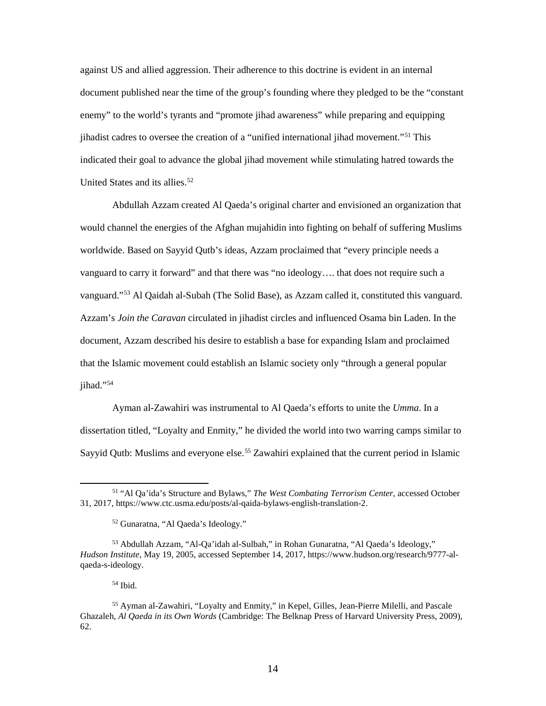against US and allied aggression. Their adherence to this doctrine is evident in an internal document published near the time of the group's founding where they pledged to be the "constant indicated their goal to advance the global jihad movement while stimulating hatred towards the United States and its allies. [52](#page-20-1)  enemy" to the world's tyrants and "promote jihad awareness" while preparing and equipping jihadist cadres to oversee the creation of a "unified international jihad movement."[51](#page-20-0) This

 Abdullah Azzam created Al Qaeda's original charter and envisioned an organization that would channel the energies of the Afghan mujahidin into fighting on behalf of suffering Muslims worldwide. Based on Sayyid Qutb's ideas, Azzam proclaimed that "every principle needs a Azzam's *Join the Caravan* circulated in jihadist circles and influenced Osama bin Laden. In the document, Azzam described his desire to establish a base for expanding Islam and proclaimed that the Islamic movement could establish an Islamic society only "through a general popular vanguard to carry it forward" and that there was "no ideology…. that does not require such a vanguard."[53](#page-20-2) Al Qaidah al-Subah (The Solid Base), as Azzam called it, constituted this vanguard. jihad."<sup>[54](#page-20-3)</sup>

 Ayman al-Zawahiri was instrumental to Al Qaeda's efforts to unite the *Umma*. In a dissertation titled, "Loyalty and Enmity," he divided the world into two warring camps similar to Sayyid Qutb: Muslims and everyone else.<sup>[55](#page-20-4)</sup> Zawahiri explained that the current period in Islamic

54 Ibid.

<span id="page-20-0"></span><sup>51 &</sup>quot;Al Qa'ida's Structure and Bylaws," *The West Combating Terrorism Center*, accessed October 31, 2017,<https://www.ctc.usma.edu/posts/al-qaida-bylaws-english-translation-2>.

<sup>52</sup> Gunaratna, "Al Qaeda's Ideology."

<span id="page-20-2"></span><span id="page-20-1"></span><sup>53</sup> Abdullah Azzam, "Al-Qa'idah al-Sulbah," in Rohan Gunaratna, "Al Qaeda's Ideology," *Hudson Institute*, May 19, 2005, accessed September 14, 2017,<https://www.hudson.org/research/9777-al>qaeda-s-ideology.

<span id="page-20-4"></span><span id="page-20-3"></span><sup>62.</sup> 55 Ayman al-Zawahiri, "Loyalty and Enmity," in Kepel, Gilles, Jean-Pierre Milelli, and Pascale Ghazaleh, *Al Qaeda in its Own Words* (Cambridge: The Belknap Press of Harvard University Press, 2009),  $62.$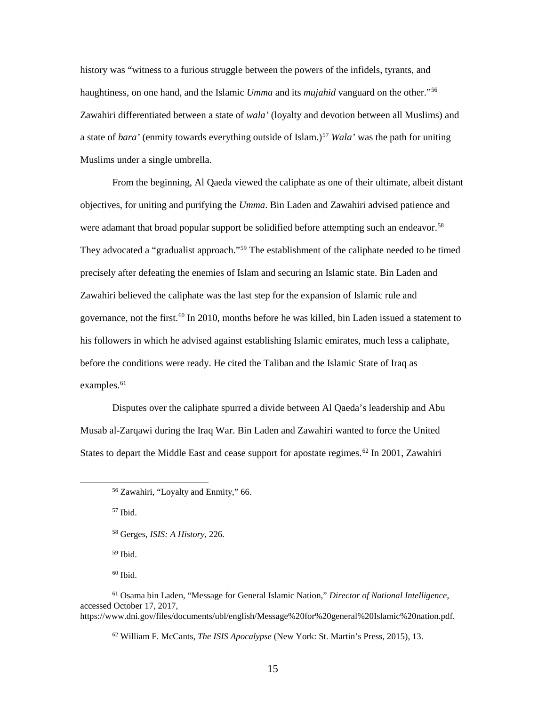history was "witness to a furious struggle between the powers of the infidels, tyrants, and haughtiness, on one hand, and the Islamic *Umma* and its *mujahid* vanguard on the other."[56](#page-21-0)  a state of *bara'* (enmity towards everything outside of Islam.)<sup>57</sup> *Wala'* was the path for uniting Muslims under a single umbrella. Zawahiri differentiated between a state of *wala'* (loyalty and devotion between all Muslims) and

 Zawahiri believed the caliphate was the last step for the expansion of Islamic rule and governance, not the first.<sup>[60](#page-21-4)</sup> In 2010, months before he was killed, bin Laden issued a statement to examples.<sup>61</sup> From the beginning, Al Qaeda viewed the caliphate as one of their ultimate, albeit distant objectives, for uniting and purifying the *Umma*. Bin Laden and Zawahiri advised patience and were adamant that broad popular support be solidified before attempting such an endeavor.<sup>58</sup> They advocated a "gradualist approach."<sup>59</sup> The establishment of the caliphate needed to be timed precisely after defeating the enemies of Islam and securing an Islamic state. Bin Laden and his followers in which he advised against establishing Islamic emirates, much less a caliphate, before the conditions were ready. He cited the Taliban and the Islamic State of Iraq as

Disputes over the caliphate spurred a divide between Al Qaeda's leadership and Abu Musab al-Zarqawi during the Iraq War. Bin Laden and Zawahiri wanted to force the United States to depart the Middle East and cease support for apostate regimes.<sup>[62](#page-21-6)</sup> In 2001, Zawahiri

57 Ibid.

<span id="page-21-2"></span><span id="page-21-1"></span><span id="page-21-0"></span> $\overline{a}$ 

58 Gerges, *ISIS: A History*, 226.

59 Ibid.

60 Ibid.

<sup>56</sup> Zawahiri, "Loyalty and Enmity," 66.

<span id="page-21-6"></span><span id="page-21-5"></span><span id="page-21-4"></span><span id="page-21-3"></span> accessed October 17, 2017, 61 Osama bin Laden, "Message for General Islamic Nation," *Director of National Intelligence*, [https://www.dni.gov/files/documents/ubl/english/Message%20for%20general%20Islamic%20nation.pdf.](https://www.dni.gov/files/documents/ubl/english/Message%20for%20general%20Islamic%20nation.pdf)

 62 William F. McCants, *The ISIS Apocalypse* (New York: St. Martin's Press, 2015), 13. 15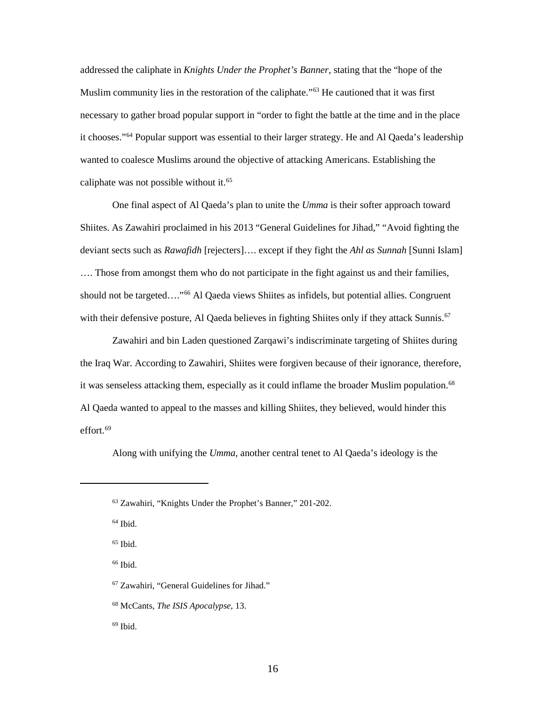Muslim community lies in the restoration of the caliphate."<sup>[63](#page-22-0)</sup> He cautioned that it was first necessary to gather broad popular support in "order to fight the battle at the time and in the place it chooses."<sup>64</sup> Popular support was essential to their larger strategy. He and Al Qaeda's leadership caliphate was not possible without it.<sup>65</sup> addressed the caliphate in *Knights Under the Prophet's Banner*, stating that the "hope of the wanted to coalesce Muslims around the objective of attacking Americans. Establishing the

 One final aspect of Al Qaeda's plan to unite the *Umma* is their softer approach toward Shiites. As Zawahiri proclaimed in his 2013 "General Guidelines for Jihad," "Avoid fighting the …. Those from amongst them who do not participate in the fight against us and their families, with their defensive posture, Al Qaeda believes in fighting Shiites only if they attack Sunnis.<sup>67</sup> deviant sects such as *Rawafidh* [rejecters]…. except if they fight the *Ahl as Sunnah* [Sunni Islam] should not be targeted...."<sup>66</sup> Al Qaeda views Shiites as infidels, but potential allies. Congruent

 Zawahiri and bin Laden questioned Zarqawi's indiscriminate targeting of Shiites during the Iraq War. According to Zawahiri, Shiites were forgiven because of their ignorance, therefore, it was senseless attacking them, especially as it could inflame the broader Muslim population.<sup>[68](#page-22-5)</sup> Al Qaeda wanted to appeal to the masses and killing Shiites, they believed, would hinder this effort. [69](#page-22-6) 

Along with unifying the *Umma*, another central tenet to Al Qaeda's ideology is the

64 Ibid.

<span id="page-22-2"></span><span id="page-22-1"></span><span id="page-22-0"></span><u>.</u>

 $65$  Ibid. <sup>65</sup> Ibid.<br><sup>66</sup> Ibid.

<span id="page-22-3"></span>

<span id="page-22-4"></span>67 Zawahiri, "General Guidelines for Jihad."

<span id="page-22-5"></span>68 McCants, *The ISIS Apocalypse*, 13.

<span id="page-22-6"></span> $69$  Ibid.  $\frac{69}{16}$  Ibid.

<sup>63</sup> Zawahiri, "Knights Under the Prophet's Banner," 201-202.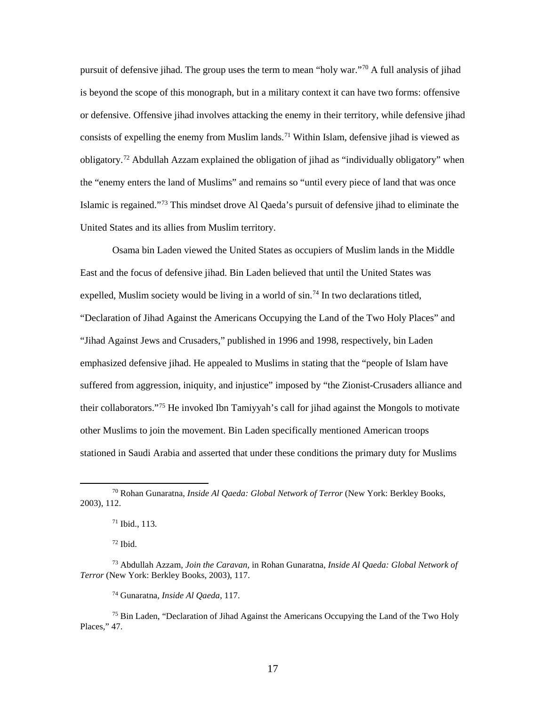pursuit of defensive jihad. The group uses the term to mean "holy war."<sup>[70](#page-23-0)</sup> A full analysis of jihad is beyond the scope of this monograph, but in a military context it can have two forms: offensive or defensive. Offensive jihad involves attacking the enemy in their territory, while defensive jihad obligatory.<sup>72</sup> Abdullah Azzam explained the obligation of jihad as "individually obligatory" when the "enemy enters the land of Muslims" and remains so "until every piece of land that was once United States and its allies from Muslim territory. consists of expelling the enemy from Muslim lands.<sup>[71](#page-23-1)</sup> Within Islam, defensive jihad is viewed as Islamic is regained."[73](#page-23-3) This mindset drove Al Qaeda's pursuit of defensive jihad to eliminate the

 East and the focus of defensive jihad. Bin Laden believed that until the United States was their collaborators.["75](#page-23-5) He invoked Ibn Tamiyyah's call for jihad against the Mongols to motivate stationed in Saudi Arabia and asserted that under these conditions the primary duty for Muslims Osama bin Laden viewed the United States as occupiers of Muslim lands in the Middle expelled, Muslim society would be living in a world of  $\sin^{74}$  In two declarations titled, "Declaration of Jihad Against the Americans Occupying the Land of the Two Holy Places" and "Jihad Against Jews and Crusaders," published in 1996 and 1998, respectively, bin Laden emphasized defensive jihad. He appealed to Muslims in stating that the "people of Islam have suffered from aggression, iniquity, and injustice" imposed by "the Zionist-Crusaders alliance and other Muslims to join the movement. Bin Laden specifically mentioned American troops

72 Ibid.

 $\overline{a}$ 

74 Gunaratna, *Inside Al Qaeda*, 117.

<span id="page-23-1"></span><span id="page-23-0"></span><sup>2003), 112.</sup> 2003), 112.<br> $\frac{71 \text{ Ibid., } 113.}$ 70 Rohan Gunaratna, *Inside Al Qaeda: Global Network of Terror* (New York: Berkley Books,

<span id="page-23-3"></span><span id="page-23-2"></span><sup>73</sup> Abdullah Azzam, *Join the Caravan*, in Rohan Gunaratna, *Inside Al Qaeda: Global Network of Terror* (New York: Berkley Books, 2003), 117.

<span id="page-23-5"></span><span id="page-23-4"></span><sup>&</sup>lt;sup>75</sup> Bin Laden, "Declaration of Jihad Against the Americans Occupying the Land of the Two Holy Places," 47.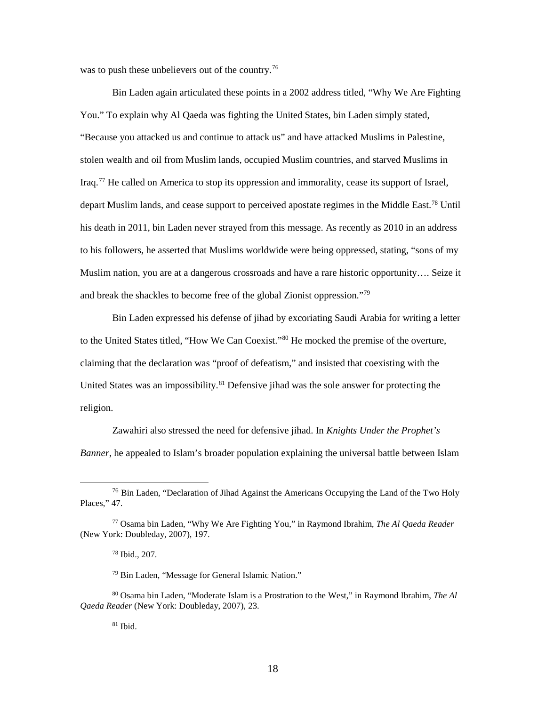was to push these unbelievers out of the country.<sup>[76](#page-24-0)</sup>

 Bin Laden again articulated these points in a 2002 address titled, "Why We Are Fighting You." To explain why Al Qaeda was fighting the United States, bin Laden simply stated, Iraq.<sup>77</sup> He called on America to stop its oppression and immorality, cease its support of Israel, depart Muslim lands, and cease support to perceived apostate regimes in the Middle East.<sup>[78](#page-24-2)</sup> Until his death in 2011, bin Laden never strayed from this message. As recently as 2010 in an address to his followers, he asserted that Muslims worldwide were being oppressed, stating, "sons of my "Because you attacked us and continue to attack us" and have attacked Muslims in Palestine, stolen wealth and oil from Muslim lands, occupied Muslim countries, and starved Muslims in Muslim nation, you are at a dangerous crossroads and have a rare historic opportunity…. Seize it and break the shackles to become free of the global Zionist oppression."[79](#page-24-3)

 Bin Laden expressed his defense of jihad by excoriating Saudi Arabia for writing a letter to the United States titled, "How We Can Coexist."[80](#page-24-4) He mocked the premise of the overture, claiming that the declaration was "proof of defeatism," and insisted that coexisting with the United States was an impossibility.<sup>[81](#page-24-5)</sup> Defensive jihad was the sole answer for protecting the religion.

 Zawahiri also stressed the need for defensive jihad. In *Knights Under the Prophet's Banner*, he appealed to Islam's broader population explaining the universal battle between Islam

 $\overline{a}$ 

 $81$  Ibid.

<span id="page-24-0"></span> $76$  Bin Laden, "Declaration of Jihad Against the Americans Occupying the Land of the Two Holy Places," 47.

<span id="page-24-2"></span><span id="page-24-1"></span><sup>77</sup> Osama bin Laden, "Why We Are Fighting You," in Raymond Ibrahim, *The Al Qaeda Reader*  (New York: Doubleday, 2007), 197.

 78 Ibid., 207.

<sup>79</sup> Bin Laden, "Message for General Islamic Nation."

<span id="page-24-5"></span><span id="page-24-4"></span><span id="page-24-3"></span> 80 Osama bin Laden, "Moderate Islam is a Prostration to the West," in Raymond Ibrahim, *The Al Qaeda Reader* (New York: Doubleday, 2007), 23.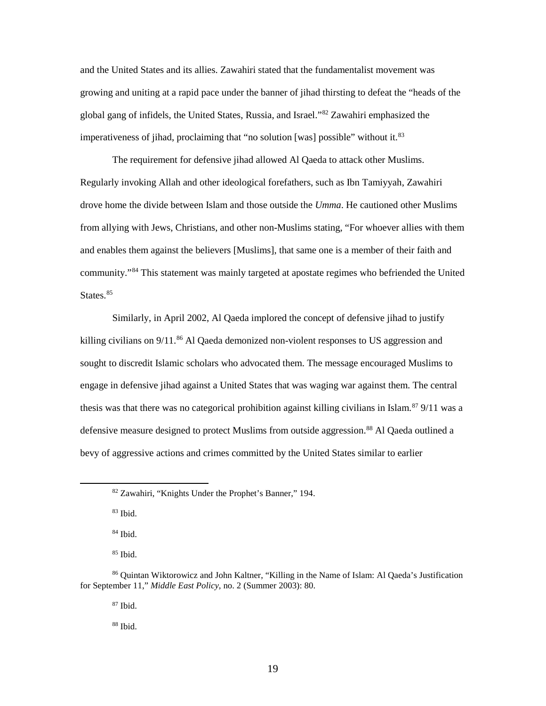growing and uniting at a rapid pace under the banner of jihad thirsting to defeat the "heads of the global gang of infidels, the United States, Russia, and Israel.["82](#page-25-0) Zawahiri emphasized the imperativeness of jihad, proclaiming that "no solution [was] possible" without it.<sup>83</sup> and the United States and its allies. Zawahiri stated that the fundamentalist movement was

 and enables them against the believers [Muslims], that same one is a member of their faith and The requirement for defensive jihad allowed Al Qaeda to attack other Muslims. Regularly invoking Allah and other ideological forefathers, such as Ibn Tamiyyah, Zawahiri drove home the divide between Islam and those outside the *Umma*. He cautioned other Muslims from allying with Jews, Christians, and other non-Muslims stating, "For whoever allies with them community."[84](#page-25-2) This statement was mainly targeted at apostate regimes who befriended the United States.<sup>[85](#page-25-3)</sup>

 sought to discredit Islamic scholars who advocated them. The message encouraged Muslims to thesis was that there was no categorical prohibition against killing civilians in Islam.<sup>[87](#page-25-5)</sup> 9/11 was a bevy of aggressive actions and crimes committed by the United States similar to earlier Similarly, in April 2002, Al Qaeda implored the concept of defensive jihad to justify killing civilians on 9/11.<sup>[86](#page-25-4)</sup> Al Qaeda demonized non-violent responses to US aggression and engage in defensive jihad against a United States that was waging war against them. The central defensive measure designed to protect Muslims from outside aggression.<sup>88</sup> Al Qaeda outlined a

 $83$  Ibid.

<span id="page-25-1"></span><span id="page-25-0"></span><u>.</u>

84 Ibid.

85 Ibid.

87 Ibid.

88 Ibid.

<sup>&</sup>lt;sup>82</sup> Zawahiri, "Knights Under the Prophet's Banner," 194.<br><sup>83</sup> Ibid.

<span id="page-25-6"></span><span id="page-25-5"></span><span id="page-25-4"></span><span id="page-25-3"></span><span id="page-25-2"></span><sup>86</sup> Quintan Wiktorowicz and John Kaltner, "Killing in the Name of Islam: Al Qaeda's Justification for September 11," *Middle East Policy*, no. 2 (Summer 2003): 80.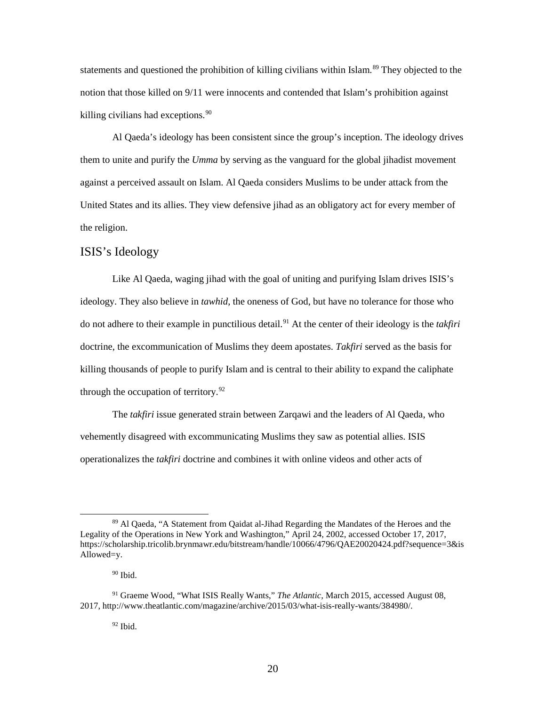<span id="page-26-0"></span>statements and questioned the prohibition of killing civilians within Islam.<sup>[89](#page-26-1)</sup> They objected to the notion that those killed on 9/11 were innocents and contended that Islam's prohibition against killing civilians had exceptions. [90](#page-26-2)

 them to unite and purify the *Umma* by serving as the vanguard for the global jihadist movement Al Qaeda's ideology has been consistent since the group's inception. The ideology drives against a perceived assault on Islam. Al Qaeda considers Muslims to be under attack from the United States and its allies. They view defensive jihad as an obligatory act for every member of the religion.

## ISIS's Ideology

 ideology. They also believe in *tawhid*, the oneness of God, but have no tolerance for those who do not adhere to their example in punctilious detail.[91](#page-26-3) At the center of their ideology is the *takfiri*  doctrine, the excommunication of Muslims they deem apostates. *Takfiri* served as the basis for killing thousands of people to purify Islam and is central to their ability to expand the caliphate through the occupation of territory. $92$ Like Al Qaeda, waging jihad with the goal of uniting and purifying Islam drives ISIS's

 The *takfiri* issue generated strain between Zarqawi and the leaders of Al Qaeda, who operationalizes the *takfiri* doctrine and combines it with online videos and other acts of vehemently disagreed with excommunicating Muslims they saw as potential allies. ISIS

<span id="page-26-1"></span><sup>89</sup> Al Qaeda, "A Statement from Qaidat al-Jihad Regarding the Mandates of the Heroes and the Legality of the Operations in New York and Washington," April 24, 2002, accessed October 17, 2017, <https://scholarship.tricolib.brynmawr.edu/bitstream/handle/10066/4796/QAE20020424.pdf?sequence=3&is> Allowed=y.

 90 Ibid.

<span id="page-26-4"></span><span id="page-26-3"></span><span id="page-26-2"></span><sup>91</sup> Graeme Wood, "What ISIS Really Wants," *The Atlantic,* March 2015, accessed August 08, 2017, [http://www.theatlantic.com/magazine/archive/2015/03/what-isis-really-wants/384980/](http://www.theatlantic.com/magazine/archive/2015/03/what-isis-really-wants/384980).

 $92$  Ibid.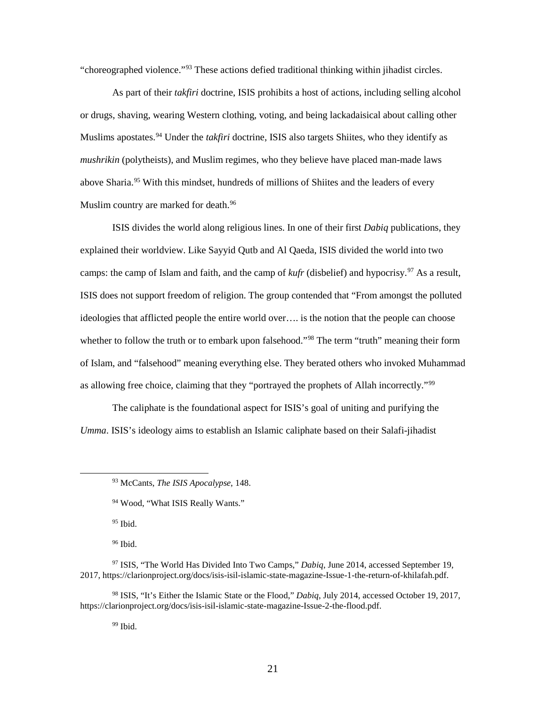"choreographed violence."[93](#page-27-0) These actions defied traditional thinking within jihadist circles.

 As part of their *takfiri* doctrine, ISIS prohibits a host of actions, including selling alcohol *mushrikin* (polytheists), and Muslim regimes, who they believe have placed man-made laws Muslim country are marked for death.<sup>96</sup> or drugs, shaving, wearing Western clothing, voting, and being lackadaisical about calling other Muslims apostates.<sup>94</sup> Under the *takfiri* doctrine, ISIS also targets Shiites, who they identify as above Sharia.<sup>95</sup> With this mindset, hundreds of millions of Shiites and the leaders of every

 ISIS divides the world along religious lines. In one of their first *Dabiq* publications, they camps: the camp of Islam and faith, and the camp of *kufr* (disbelief) and hypocrisy.<sup>[97](#page-27-4)</sup> As a result, ISIS does not support freedom of religion. The group contended that "From amongst the polluted whether to follow the truth or to embark upon falsehood."<sup>[98](#page-27-5)</sup> The term "truth" meaning their form as allowing free choice, claiming that they "portrayed the prophets of Allah incorrectly."<sup>99</sup> explained their worldview. Like Sayyid Qutb and Al Qaeda, ISIS divided the world into two ideologies that afflicted people the entire world over…. is the notion that the people can choose of Islam, and "falsehood" meaning everything else. They berated others who invoked Muhammad

 The caliphate is the foundational aspect for ISIS's goal of uniting and purifying the *Umma*. ISIS's ideology aims to establish an Islamic caliphate based on their Salafi-jihadist

95 Ibid.

<span id="page-27-1"></span><span id="page-27-0"></span> $\overline{a}$ 

96 Ibid.

<sup>99</sup> Ibid.

<sup>&</sup>lt;sup>93</sup> McCants, *The ISIS Apocalypse*, 148.

<sup>&</sup>lt;sup>94</sup> Wood, "What ISIS Really Wants."

<span id="page-27-4"></span><span id="page-27-3"></span><span id="page-27-2"></span><sup>97</sup> ISIS, "The World Has Divided Into Two Camps," *Dabiq*, June 2014, accessed September 19, 2017, [https://clarionproject.org/docs/isis-isil-islamic-state-magazine-Issue-1-the-return-of-khilafah.pdf.](https://clarionproject.org/docs/isis-isil-islamic-state-magazine-Issue-1-the-return-of-khilafah.pdf)

<span id="page-27-6"></span><span id="page-27-5"></span><sup>98</sup> ISIS, "It's Either the Islamic State or the Flood," *Dabiq*, July 2014, accessed October 19, 2017, [https://clarionproject.org/docs/isis-isil-islamic-state-magazine-Issue-2-the-flood.pdf.](https://clarionproject.org/docs/isis-isil-islamic-state-magazine-Issue-2-the-flood.pdf)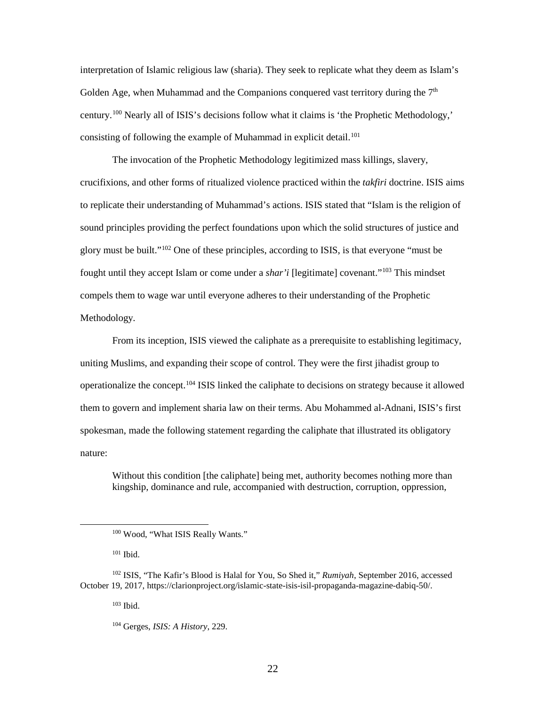interpretation of Islamic religious law (sharia). They seek to replicate what they deem as Islam's consisting of following the example of Muhammad in explicit detail.<sup>[101](#page-28-1)</sup> Golden Age, when Muhammad and the Companions conquered vast territory during the  $7<sup>th</sup>$ century.[100](#page-28-0) Nearly all of ISIS's decisions follow what it claims is 'the Prophetic Methodology,'

 The invocation of the Prophetic Methodology legitimized mass killings, slavery, to replicate their understanding of Muhammad's actions. ISIS stated that "Islam is the religion of glory must be built."<sup>[102](#page-28-2)</sup> One of these principles, according to ISIS, is that everyone "must be compels them to wage war until everyone adheres to their understanding of the Prophetic crucifixions, and other forms of ritualized violence practiced within the *takfiri* doctrine. ISIS aims sound principles providing the perfect foundations upon which the solid structures of justice and fought until they accept Islam or come under a *shar'i* [legitimate] covenant."[103](#page-28-3) This mindset Methodology.

 uniting Muslims, and expanding their scope of control. They were the first jihadist group to operationalize the concept.<sup>[104](#page-28-4)</sup> ISIS linked the caliphate to decisions on strategy because it allowed them to govern and implement sharia law on their terms. Abu Mohammed al-Adnani, ISIS's first spokesman, made the following statement regarding the caliphate that illustrated its obligatory From its inception, ISIS viewed the caliphate as a prerequisite to establishing legitimacy, nature:

Without this condition [the caliphate] being met, authority becomes nothing more than kingship, dominance and rule, accompanied with destruction, corruption, oppression,

<span id="page-28-0"></span>-

103 Ibid.

<sup>100</sup> Wood, "What ISIS Really Wants."

 101 Ibid.

<span id="page-28-4"></span><span id="page-28-3"></span><span id="page-28-2"></span><span id="page-28-1"></span><sup>102</sup> ISIS, "The Kafir's Blood is Halal for You, So Shed it," *Rumiyah*, September 2016, accessed October 19, 2017, [https://clarionproject.org/islamic-state-isis-isil-propaganda-magazine-dabiq-50/](https://clarionproject.org/islamic-state-isis-isil-propaganda-magazine-dabiq-50).

<sup>104</sup> Gerges, *ISIS: A History*, 229.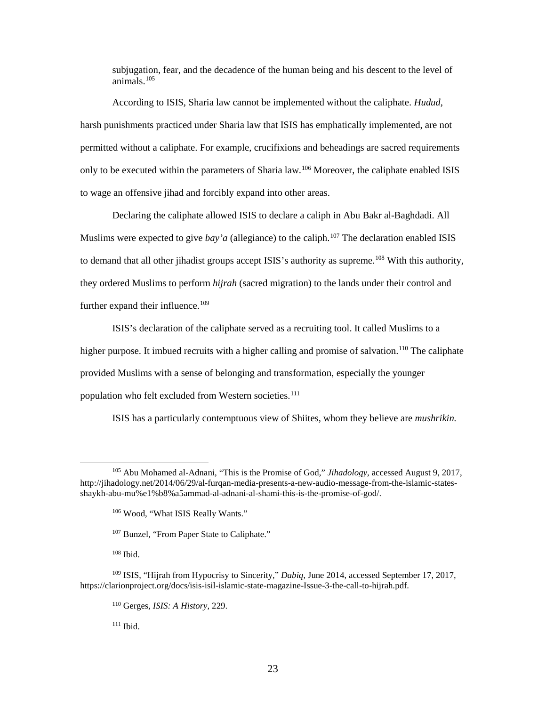subjugation, fear, and the decadence of the human being and his descent to the level of animals[.105](#page-29-0) 

 harsh punishments practiced under Sharia law that ISIS has emphatically implemented, are not According to ISIS, Sharia law cannot be implemented without the caliphate. *Hudud*, permitted without a caliphate. For example, crucifixions and beheadings are sacred requirements only to be executed within the parameters of Sharia law.<sup>106</sup> Moreover, the caliphate enabled ISIS to wage an offensive jihad and forcibly expand into other areas.

to demand that all other jihadist groups accept ISIS's authority as supreme.<sup>[108](#page-29-3)</sup> With this authority, they ordered Muslims to perform *hijrah* (sacred migration) to the lands under their control and further expand their influence.<sup>109</sup> Declaring the caliphate allowed ISIS to declare a caliph in Abu Bakr al-Baghdadi. All Muslims were expected to give *bay'a* (allegiance) to the caliph. [107](#page-29-2) The declaration enabled ISIS

 ISIS's declaration of the caliphate served as a recruiting tool. It called Muslims to a provided Muslims with a sense of belonging and transformation, especially the younger population who felt excluded from Western societies.<sup>[111](#page-29-6)</sup> higher purpose. It imbued recruits with a higher calling and promise of salvation.<sup>110</sup> The caliphate

ISIS has a particularly contemptuous view of Shiites, whom they believe are *mushrikin.* 

 $108$  Ibid.

-

<sup>111</sup> Ibid.

<span id="page-29-1"></span><span id="page-29-0"></span><sup>105</sup> Abu Mohamed al-Adnani, "This is the Promise of God," *Jihadology*, accessed August 9, 2017, <http://jihadology.net/2014/06/29/al-furqan-media-presents-a-new-audio-message-from-the-islamic-states>shaykh-abu-mu%e1%b8%a5ammad-al-adnani-al-shami-this-is-the-promise-of-god/.

<sup>106</sup> Wood, "What ISIS Really Wants."

<sup>&</sup>lt;sup>107</sup> Bunzel, "From Paper State to Caliphate."

<span id="page-29-6"></span><span id="page-29-5"></span><span id="page-29-4"></span><span id="page-29-3"></span><span id="page-29-2"></span> <https://clarionproject.org/docs/isis-isil-islamic-state-magazine-Issue-3-the-call-to-hijrah.pdf>. 110 Gerges, *ISIS: A History*, 229. 108 Ibid. 109 ISIS, "Hijrah from Hypocrisy to Sincerity," *Dabiq*, June 2014, accessed September 17, 2017,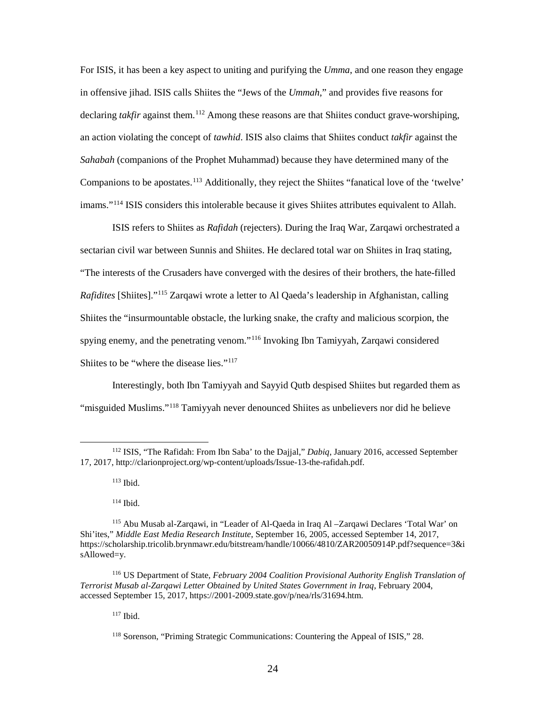For ISIS, it has been a key aspect to uniting and purifying the *Umma*, and one reason they engage *Sahabah* (companions of the Prophet Muhammad) because they have determined many of the in offensive jihad. ISIS calls Shiites the "Jews of the *Ummah*," and provides five reasons for declaring *takfir* against them.<sup>112</sup> Among these reasons are that Shiites conduct grave-worshiping, an action violating the concept of *tawhid*. ISIS also claims that Shiites conduct *takfir* against the Companions to be apostates.<sup>113</sup> Additionally, they reject the Shiites "fanatical love of the 'twelve' imams."[114](#page-30-2) ISIS considers this intolerable because it gives Shiites attributes equivalent to Allah.

 ISIS refers to Shiites as *Rafidah* (rejecters). During the Iraq War, Zarqawi orchestrated a sectarian civil war between Sunnis and Shiites. He declared total war on Shiites in Iraq stating, spying enemy, and the penetrating venom."<sup>116</sup> Invoking Ibn Tamiyyah, Zarqawi considered Shiites to be "where the disease lies."<sup>[117](#page-30-5)</sup> "The interests of the Crusaders have converged with the desires of their brothers, the hate-filled *Rafidites* [Shiites]."[115](#page-30-3) Zarqawi wrote a letter to Al Qaeda's leadership in Afghanistan, calling Shiites the "insurmountable obstacle, the lurking snake, the crafty and malicious scorpion, the

 Interestingly, both Ibn Tamiyyah and Sayyid Qutb despised Shiites but regarded them as "misguided Muslims."<sup>118</sup> Tamiyyah never denounced Shiites as unbelievers nor did he believe

113 Ibid.

 $\overline{a}$ 

114 Ibid.

<span id="page-30-1"></span><span id="page-30-0"></span> 112 ISIS, "The Rafidah: From Ibn Saba' to the Dajjal," *Dabiq*, January 2016, accessed September 17, 2017, [http://clarionproject.org/wp-content/uploads/Issue-13-the-rafidah.pdf.](http://clarionproject.org/wp-content/uploads/Issue-13-the-rafidah.pdf)

<span id="page-30-3"></span><span id="page-30-2"></span><sup>115</sup> Abu Musab al-Zarqawi, in "Leader of Al-Qaeda in Iraq Al –Zarqawi Declares 'Total War' on Shi'ites," *Middle East Media Research Institute*, September 16, 2005, accessed September 14, 2017, <https://scholarship.tricolib.brynmawr.edu/bitstream/handle/10066/4810/ZAR20050914P.pdf?sequence=3&i> sAllowed=y.

<span id="page-30-6"></span><span id="page-30-5"></span><span id="page-30-4"></span> 116 US Department of State, *February 2004 Coalition Provisional Authority English Translation of Terrorist Musab al-Zarqawi Letter Obtained by United States Government in Iraq*, February 2004, accessed September 15, 2017, <https://2001-2009.state.gov/p/nea/rls/31694.htm>.

 117 Ibid.

<sup>118</sup> Sorenson, "Priming Strategic Communications: Countering the Appeal of ISIS," 28.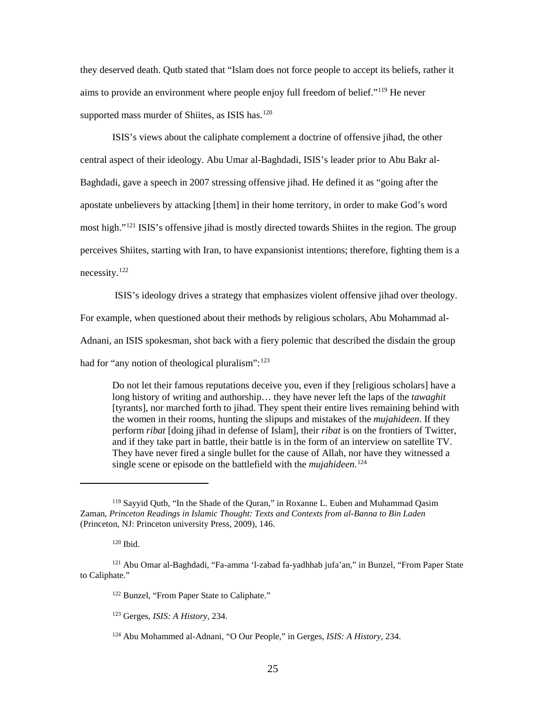they deserved death. Qutb stated that "Islam does not force people to accept its beliefs, rather it aims to provide an environment where people enjoy full freedom of belief."<sup>119</sup> He never supported mass murder of Shiites, as ISIS has.<sup>[120](#page-31-1)</sup>

 Baghdadi, gave a speech in 2007 stressing offensive jihad. He defined it as "going after the perceives Shiites, starting with Iran, to have expansionist intentions; therefore, fighting them is a ISIS's views about the caliphate complement a doctrine of offensive jihad, the other central aspect of their ideology. Abu Umar al-Baghdadi, ISIS's leader prior to Abu Bakr alapostate unbelievers by attacking [them] in their home territory, in order to make God's word most high."<sup>[121](#page-31-2)</sup> ISIS's offensive jihad is mostly directed towards Shiites in the region. The group necessity.[122](#page-31-3)

ISIS's ideology drives a strategy that emphasizes violent offensive jihad over theology.

For example, when questioned about their methods by religious scholars, Abu Mohammad al-

Adnani, an ISIS spokesman, shot back with a fiery polemic that described the disdain the group

had for "any notion of theological pluralism": 123

 Do not let their famous reputations deceive you, even if they [religious scholars] have a [tyrants], nor marched forth to jihad. They spent their entire lives remaining behind with the women in their rooms, hunting the slipups and mistakes of the *mujahideen*. If they perform *ribat* [doing jihad in defense of Islam], their *ribat* is on the frontiers of Twitter, and if they take part in battle, their battle is in the form of an interview on satellite TV. They have never fired a single bullet for the cause of Allah, nor have they witnessed a single scene or episode on the battlefield with the *mujahideen*. [124](#page-31-5) long history of writing and authorship… they have never left the laps of the *tawaghit* 

 $\overline{a}$ 

<span id="page-31-0"></span> (Princeton, NJ: Princeton university Press, 2009), 146. 119 Sayyid Qutb, "In the Shade of the Quran," in Roxanne L. Euben and Muhammad Qasim Zaman, *Princeton Readings in Islamic Thought: Texts and Contexts from al-Banna to Bin Laden* 

 120 Ibid.

<span id="page-31-5"></span><span id="page-31-4"></span><span id="page-31-3"></span><span id="page-31-2"></span><span id="page-31-1"></span>to Caliphate." 121 Abu Omar al-Baghdadi, "Fa-amma 'l-zabad fa-yadhhab jufa'an," in Bunzel, "From Paper State

<sup>&</sup>lt;sup>122</sup> Bunzel, "From Paper State to Caliphate."

<sup>123</sup> Gerges, *ISIS: A History*, 234.

<sup>124</sup> Abu Mohammed al-Adnani, "O Our People," in Gerges, *ISIS: A History*, 234.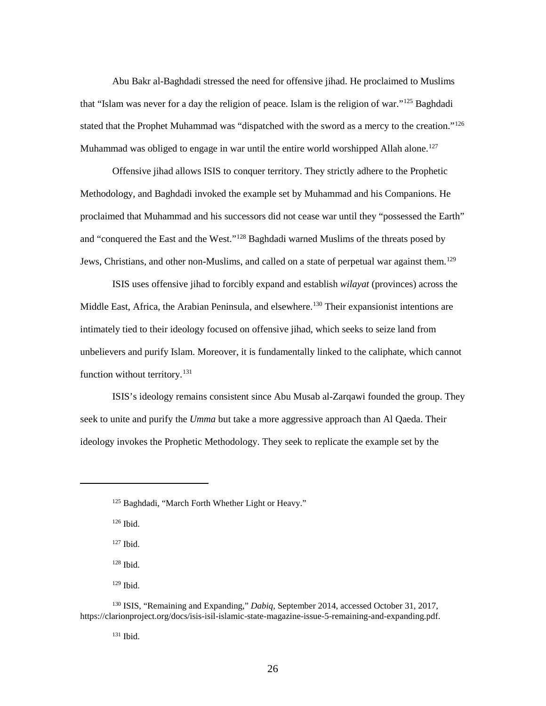Abu Bakr al-Baghdadi stressed the need for offensive jihad. He proclaimed to Muslims that "Islam was never for a day the religion of peace. Islam is the religion of war."[125](#page-32-0) Baghdadi Muhammad was obliged to engage in war until the entire world worshipped Allah alone.<sup>[127](#page-32-2)</sup> stated that the Prophet Muhammad was "dispatched with the sword as a mercy to the creation."<sup>126</sup>

 Offensive jihad allows ISIS to conquer territory. They strictly adhere to the Prophetic Methodology, and Baghdadi invoked the example set by Muhammad and his Companions. He proclaimed that Muhammad and his successors did not cease war until they "possessed the Earth" Jews, Christians, and other non-Muslims, and called on a state of perpetual war against them.<sup>129</sup> and "conquered the East and the West."[128](#page-32-3) Baghdadi warned Muslims of the threats posed by

 intimately tied to their ideology focused on offensive jihad, which seeks to seize land from function without territory.<sup>131</sup> ISIS uses offensive jihad to forcibly expand and establish *wilayat* (provinces) across the Middle East, Africa, the Arabian Peninsula, and elsewhere.<sup>130</sup> Their expansionist intentions are unbelievers and purify Islam. Moreover, it is fundamentally linked to the caliphate, which cannot

 seek to unite and purify the *Umma* but take a more aggressive approach than Al Qaeda. Their ideology invokes the Prophetic Methodology. They seek to replicate the example set by the ISIS's ideology remains consistent since Abu Musab al-Zarqawi founded the group. They

126 Ibid.

<span id="page-32-1"></span><span id="page-32-0"></span><u>.</u>

- 127 Ibid.
- 128 Ibid.
- 129 Ibid.

131 Ibid.

<sup>&</sup>lt;sup>125</sup> Baghdadi, "March Forth Whether Light or Heavy."

<span id="page-32-6"></span><span id="page-32-5"></span><span id="page-32-4"></span><span id="page-32-3"></span><span id="page-32-2"></span><sup>130</sup> ISIS, "Remaining and Expanding," *Dabiq*, September 2014, accessed October 31, 2017, [https://clarionproject.org/docs/isis-isil-islamic-state-magazine-issue-5-remaining-and-expanding.pdf.](https://clarionproject.org/docs/isis-isil-islamic-state-magazine-issue-5-remaining-and-expanding.pdf)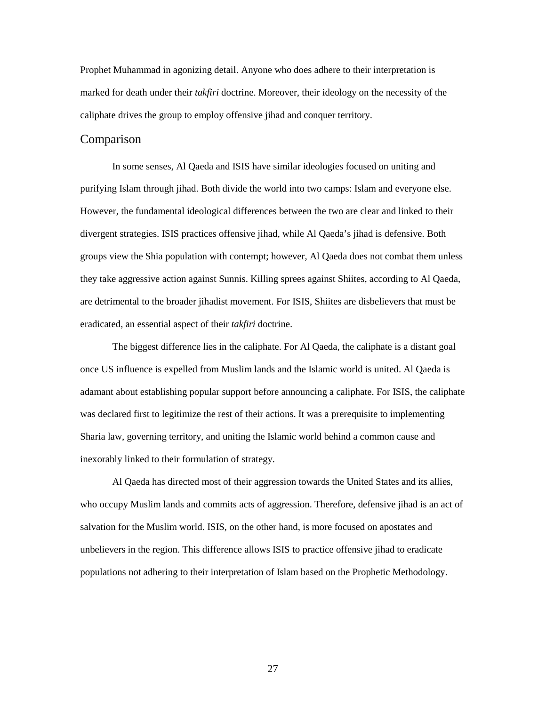<span id="page-33-0"></span> marked for death under their *takfiri* doctrine. Moreover, their ideology on the necessity of the caliphate drives the group to employ offensive jihad and conquer territory. Prophet Muhammad in agonizing detail. Anyone who does adhere to their interpretation is

## Comparison

 purifying Islam through jihad. Both divide the world into two camps: Islam and everyone else. groups view the Shia population with contempt; however, Al Qaeda does not combat them unless eradicated, an essential aspect of their *takfiri* doctrine. In some senses, Al Qaeda and ISIS have similar ideologies focused on uniting and However, the fundamental ideological differences between the two are clear and linked to their divergent strategies. ISIS practices offensive jihad, while Al Qaeda's jihad is defensive. Both they take aggressive action against Sunnis. Killing sprees against Shiites, according to Al Qaeda, are detrimental to the broader jihadist movement. For ISIS, Shiites are disbelievers that must be

 once US influence is expelled from Muslim lands and the Islamic world is united. Al Qaeda is adamant about establishing popular support before announcing a caliphate. For ISIS, the caliphate was declared first to legitimize the rest of their actions. It was a prerequisite to implementing The biggest difference lies in the caliphate. For Al Qaeda, the caliphate is a distant goal Sharia law, governing territory, and uniting the Islamic world behind a common cause and inexorably linked to their formulation of strategy.

 who occupy Muslim lands and commits acts of aggression. Therefore, defensive jihad is an act of salvation for the Muslim world. ISIS, on the other hand, is more focused on apostates and unbelievers in the region. This difference allows ISIS to practice offensive jihad to eradicate populations not adhering to their interpretation of Islam based on the Prophetic Methodology. Al Qaeda has directed most of their aggression towards the United States and its allies, populations not adhering to their interpretation of Islam based on the Prophetic Methodology.<br>
27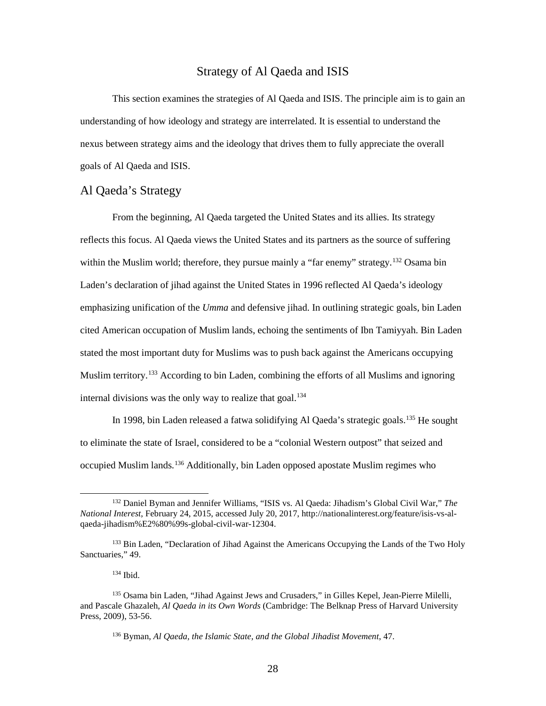## Strategy of Al Qaeda and ISIS

<span id="page-34-0"></span> nexus between strategy aims and the ideology that drives them to fully appreciate the overall This section examines the strategies of Al Qaeda and ISIS. The principle aim is to gain an understanding of how ideology and strategy are interrelated. It is essential to understand the goals of Al Qaeda and ISIS.

## Al Qaeda's Strategy

 Laden's declaration of jihad against the United States in 1996 reflected Al Qaeda's ideology emphasizing unification of the *Umma* and defensive jihad. In outlining strategic goals, bin Laden stated the most important duty for Muslims was to push back against the Americans occupying internal divisions was the only way to realize that goal.<sup>[134](#page-34-3)</sup> From the beginning, Al Qaeda targeted the United States and its allies. Its strategy reflects this focus. Al Qaeda views the United States and its partners as the source of suffering within the Muslim world; therefore, they pursue mainly a "far enemy" strategy.<sup>132</sup> Osama bin cited American occupation of Muslim lands, echoing the sentiments of Ibn Tamiyyah. Bin Laden Muslim territory.<sup>133</sup> According to bin Laden, combining the efforts of all Muslims and ignoring

In 1998, bin Laden released a fatwa solidifying Al Qaeda's strategic goals.<sup>135</sup> He sought to eliminate the state of Israel, considered to be a "colonial Western outpost" that seized and occupied Muslim lands.[136](#page-34-5) Additionally, bin Laden opposed apostate Muslim regimes who

 $\overline{a}$ 

<span id="page-34-1"></span><sup>132</sup> Daniel Byman and Jennifer Williams, "ISIS vs. Al Qaeda: Jihadism's Global Civil War," *The National Interest*, February 24, 2015, accessed July 20, 2017,<http://nationalinterest.org/feature/isis-vs-al>qaeda-jihadism%E2%80%99s-global-civil-war-12304.

<span id="page-34-2"></span><sup>&</sup>lt;sup>133</sup> Bin Laden, "Declaration of Jihad Against the Americans Occupying the Lands of the Two Holy Sanctuaries," 49.<br><sup>134</sup> Ibid.

<span id="page-34-5"></span><span id="page-34-4"></span><span id="page-34-3"></span><sup>&</sup>lt;sup>135</sup> Osama bin Laden, "Jihad Against Jews and Crusaders," in Gilles Kepel, Jean-Pierre Milelli, and Pascale Ghazaleh, *Al Qaeda in its Own Words* (Cambridge: The Belknap Press of Harvard University Press, 2009), 53-56.

<sup>136</sup> Byman, *Al Qaeda, the Islamic State, and the Global Jihadist Movement*, 47.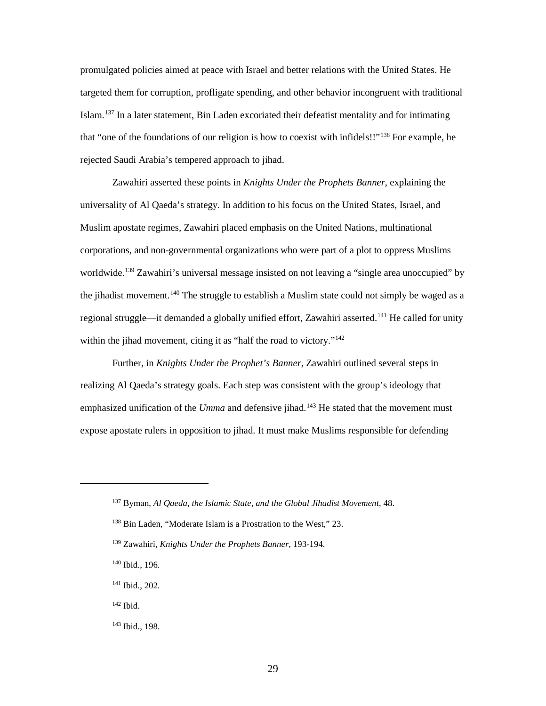targeted them for corruption, profligate spending, and other behavior incongruent with traditional Islam.<sup>[137](#page-35-0)</sup> In a later statement, Bin Laden excoriated their defeatist mentality and for intimating that "one of the foundations of our religion is how to coexist with infidels!!"<sup>[138](#page-35-1)</sup> For example, he promulgated policies aimed at peace with Israel and better relations with the United States. He rejected Saudi Arabia's tempered approach to jihad.

 corporations, and non-governmental organizations who were part of a plot to oppress Muslims worldwide.<sup>139</sup> Zawahiri's universal message insisted on not leaving a "single area unoccupied" by regional struggle—it demanded a globally unified effort, Zawahiri asserted.<sup>141</sup> He called for unity within the jihad movement, citing it as "half the road to victory."<sup>142</sup> Zawahiri asserted these points in *Knights Under the Prophets Banner*, explaining the universality of Al Qaeda's strategy. In addition to his focus on the United States, Israel, and Muslim apostate regimes, Zawahiri placed emphasis on the United Nations, multinational the jihadist movement.<sup>[140](#page-35-3)</sup> The struggle to establish a Muslim state could not simply be waged as a

 realizing Al Qaeda's strategy goals. Each step was consistent with the group's ideology that emphasized unification of the *Umma* and defensive jihad.<sup>[143](#page-35-6)</sup> He stated that the movement must Further, in *Knights Under the Prophet's Banner*, Zawahiri outlined several steps in expose apostate rulers in opposition to jihad. It must make Muslims responsible for defending

<span id="page-35-2"></span><span id="page-35-1"></span><span id="page-35-0"></span> $\overline{a}$ 

<sup>137</sup> Byman, *Al Qaeda, the Islamic State, and the Global Jihadist Movement*, 48.

 138 Bin Laden, "Moderate Islam is a Prostration to the West," 23.

<sup>139</sup> Zawahiri, *Knights Under the Prophets Banner*, 193-194.

<span id="page-35-3"></span> 140 Ibid., 196.

<span id="page-35-4"></span><sup>&</sup>lt;sup>141</sup> Ibid., 202.<br><sup>142</sup> Ibid.

<span id="page-35-5"></span> $142$  Ibid.

<span id="page-35-6"></span><sup>143</sup> Ibid., 198.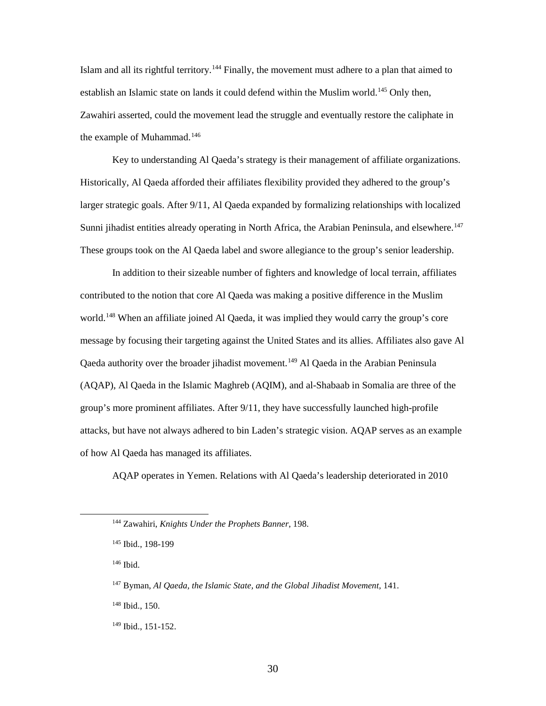the example of Muhammad.<sup>[146](#page-36-2)</sup> Islam and all its rightful territory.<sup>[144](#page-36-0)</sup> Finally, the movement must adhere to a plan that aimed to establish an Islamic state on lands it could defend within the Muslim world.<sup>[145](#page-36-1)</sup> Only then, Zawahiri asserted, could the movement lead the struggle and eventually restore the caliphate in

 Historically, Al Qaeda afforded their affiliates flexibility provided they adhered to the group's larger strategic goals. After 9/11, Al Qaeda expanded by formalizing relationships with localized Key to understanding Al Qaeda's strategy is their management of affiliate organizations. Sunni jihadist entities already operating in North Africa, the Arabian Peninsula, and elsewhere.<sup>147</sup> These groups took on the Al Qaeda label and swore allegiance to the group's senior leadership.

 In addition to their sizeable number of fighters and knowledge of local terrain, affiliates world.<sup>[148](#page-36-4)</sup> When an affiliate joined Al Qaeda, it was implied they would carry the group's core Qaeda authority over the broader jihadist movement.<sup>[149](#page-36-5)</sup> Al Qaeda in the Arabian Peninsula group's more prominent affiliates. After 9/11, they have successfully launched high-profile attacks, but have not always adhered to bin Laden's strategic vision. AQAP serves as an example contributed to the notion that core Al Qaeda was making a positive difference in the Muslim message by focusing their targeting against the United States and its allies. Affiliates also gave Al (AQAP), Al Qaeda in the Islamic Maghreb (AQIM), and al-Shabaab in Somalia are three of the of how Al Qaeda has managed its affiliates.

AQAP operates in Yemen. Relations with Al Qaeda's leadership deteriorated in 2010

146 Ibid.

<span id="page-36-3"></span><span id="page-36-2"></span><span id="page-36-1"></span><span id="page-36-0"></span> $\overline{a}$ 

<span id="page-36-4"></span>148 Ibid., 150.

<sup>144</sup> Zawahiri, *Knights Under the Prophets Banner*, 198.

<sup>145</sup> Ibid., 198-199

<sup>&</sup>lt;sup>147</sup> Byman, Al Qaeda, the Islamic State, and the Global Jihadist Movement, 141.

<span id="page-36-5"></span><sup>149</sup> Ibid., 151-152.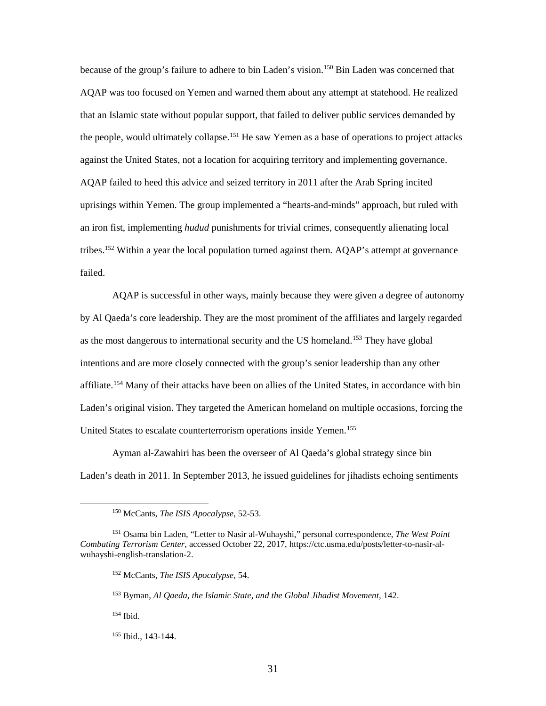AQAP was too focused on Yemen and warned them about any attempt at statehood. He realized that an Islamic state without popular support, that failed to deliver public services demanded by the people, would ultimately collapse. [151](#page-37-1) He saw Yemen as a base of operations to project attacks against the United States, not a location for acquiring territory and implementing governance. an iron fist, implementing *hudud* punishments for trivial crimes, consequently alienating local because of the group's failure to adhere to bin Laden's vision.<sup>150</sup> Bin Laden was concerned that AQAP failed to heed this advice and seized territory in 2011 after the Arab Spring incited uprisings within Yemen. The group implemented a "hearts-and-minds" approach, but ruled with tribes.<sup>[152](#page-37-2)</sup> Within a year the local population turned against them. AQAP's attempt at governance failed.

 by Al Qaeda's core leadership. They are the most prominent of the affiliates and largely regarded United States to escalate counterterrorism operations inside Yemen.<sup>155</sup> AQAP is successful in other ways, mainly because they were given a degree of autonomy as the most dangerous to international security and the US homeland.<sup>[153](#page-37-3)</sup> They have global intentions and are more closely connected with the group's senior leadership than any other affiliate.<sup>154</sup> Many of their attacks have been on allies of the United States, in accordance with bin Laden's original vision. They targeted the American homeland on multiple occasions, forcing the

Ayman al-Zawahiri has been the overseer of Al Qaeda's global strategy since bin Laden's death in 2011. In September 2013, he issued guidelines for jihadists echoing sentiments

<span id="page-37-0"></span> $\overline{a}$ 

<sup>&</sup>lt;sup>150</sup> McCants, *The ISIS Apocalypse*, 52-53.

<span id="page-37-3"></span><span id="page-37-2"></span><span id="page-37-1"></span> *Combating Terrorism Center*, accessed October 22, 2017, <https://ctc.usma.edu/posts/letter-to-nasir-al>-<sup>151</sup> Osama bin Laden, "Letter to Nasir al-Wuhayshi," personal correspondence, *The West Point* wuhayshi-english-translation-2.

<sup>152</sup> McCants, *The ISIS Apocalypse*, 54.

 153 Byman, *Al Qaeda, the Islamic State, and the Global Jihadist Movement,* 142.

<span id="page-37-4"></span> 154 Ibid.

<span id="page-37-5"></span> 155 Ibid., 143-144.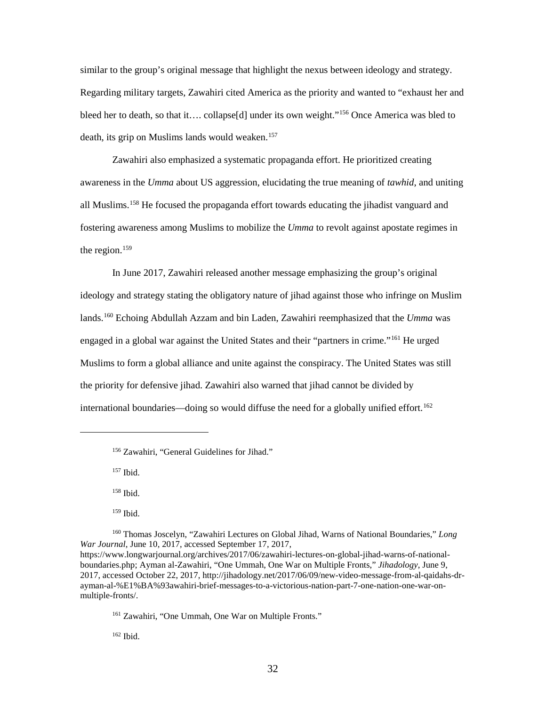death, its grip on Muslims lands would weaken.<sup>[157](#page-38-1)</sup> similar to the group's original message that highlight the nexus between ideology and strategy. Regarding military targets, Zawahiri cited America as the priority and wanted to "exhaust her and bleed her to death, so that it…. collapse[d] under its own weight."<sup>[156](#page-38-0)</sup> Once America was bled to

 awareness in the *Umma* about US aggression, elucidating the true meaning of *tawhid*, and uniting all Muslims. [158](#page-38-2) He focused the propaganda effort towards educating the jihadist vanguard and fostering awareness among Muslims to mobilize the *Umma* to revolt against apostate regimes in the region. $159$ Zawahiri also emphasized a systematic propaganda effort. He prioritized creating

 In June 2017, Zawahiri released another message emphasizing the group's original lands.[160](#page-38-4) Echoing Abdullah Azzam and bin Laden, Zawahiri reemphasized that the *Umma* was Muslims to form a global alliance and unite against the conspiracy. The United States was still the priority for defensive jihad. Zawahiri also warned that jihad cannot be divided by international boundaries—doing so would diffuse the need for a globally unified effort.<sup>[162](#page-38-6)</sup> ideology and strategy stating the obligatory nature of jihad against those who infringe on Muslim engaged in a global war against the United States and their "partners in crime."[161](#page-38-5) He urged

157 Ibid.

<span id="page-38-1"></span><span id="page-38-0"></span>-

158 Ibid.

159 Ibid.

<span id="page-38-4"></span><span id="page-38-3"></span><span id="page-38-2"></span>160 Thomas Joscelyn, "Zawahiri Lectures on Global Jihad, Warns of National Boundaries," *Long War Journal*, June 10, 2017, accessed September 17, 2017, <https://www.longwarjournal.org/archives/2017/06/zawahiri-lectures-on-global-jihad-warns-of-national>boundaries.php; Ayman al-Zawahiri, "One Ummah, One War on Multiple Fronts," *Jihadology*, June 9, 2017, accessed October 22, 2017,<http://jihadology.net/2017/06/09/new-video-message-from-al-qaidahs-dr>ayman-al-%E1%BA%93awahiri-brief-messages-to-a-victorious-nation-part-7-one-nation-one-war-onmultiple-fronts/.

<span id="page-38-5"></span>161 Zawahiri, "One Ummah, One War on Multiple Fronts."

<span id="page-38-6"></span>162 Ibid.

<sup>156</sup> Zawahiri, "General Guidelines for Jihad."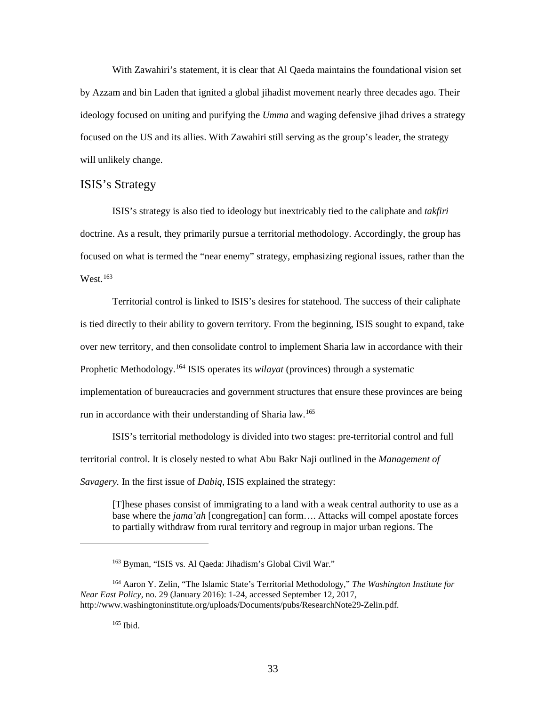<span id="page-39-0"></span> by Azzam and bin Laden that ignited a global jihadist movement nearly three decades ago. Their ideology focused on uniting and purifying the *Umma* and waging defensive jihad drives a strategy With Zawahiri's statement, it is clear that Al Qaeda maintains the foundational vision set focused on the US and its allies. With Zawahiri still serving as the group's leader, the strategy will unlikely change.

## ISIS's Strategy

 ISIS's strategy is also tied to ideology but inextricably tied to the caliphate and *takfiri*  doctrine. As a result, they primarily pursue a territorial methodology. Accordingly, the group has focused on what is termed the "near enemy" strategy, emphasizing regional issues, rather than the  $West.<sup>163</sup>$  $West.<sup>163</sup>$  $West.<sup>163</sup>$ 

 Territorial control is linked to ISIS's desires for statehood. The success of their caliphate is tied directly to their ability to govern territory. From the beginning, ISIS sought to expand, take over new territory, and then consolidate control to implement Sharia law in accordance with their Prophetic Methodology.[164](#page-39-2) ISIS operates its *wilayat* (provinces) through a systematic run in accordance with their understanding of Sharia law.<sup>165</sup> implementation of bureaucracies and government structures that ensure these provinces are being

 ISIS's territorial methodology is divided into two stages: pre-territorial control and full territorial control. It is closely nested to what Abu Bakr Naji outlined in the *Management of Savagery.* In the first issue of *Dabiq*, ISIS explained the strategy:

[T]hese phases consist of immigrating to a land with a weak central authority to use as a base where the *jama'ah* [congregation] can form…. Attacks will compel apostate forces to partially withdraw from rural territory and regroup in major urban regions. The

165 Ibid.

<sup>&</sup>lt;sup>163</sup> Byman, "ISIS vs. Al Qaeda: Jihadism's Global Civil War."

<span id="page-39-3"></span><span id="page-39-2"></span><span id="page-39-1"></span><sup>164</sup> Aaron Y. Zelin, "The Islamic State's Territorial Methodology," *The Washington Institute for Near East Policy*, no. 29 (January 2016): 1-24, accessed September 12, 2017, <http://www.washingtoninstitute.org/uploads/Documents/pubs/ResearchNote29-Zelin.pdf>.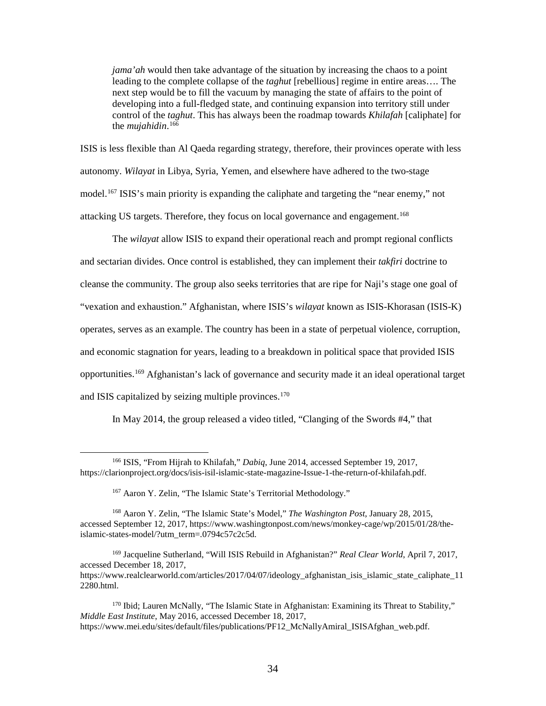*jama'ah* would then take advantage of the situation by increasing the chaos to a point next step would be to fill the vacuum by managing the state of affairs to the point of leading to the complete collapse of the *taghut* [rebellious] regime in entire areas…. The developing into a full-fledged state, and continuing expansion into territory still under control of the *taghut*. This has always been the roadmap towards *Khilafah* [caliphate] for the *mujahidin*. [166](#page-40-0) 

 ISIS is less flexible than Al Qaeda regarding strategy, therefore, their provinces operate with less model.<sup>[167](#page-40-1)</sup> ISIS's main priority is expanding the caliphate and targeting the "near enemy," not attacking US targets. Therefore, they focus on local governance and engagement.<sup>168</sup> autonomy. *Wilayat* in Libya, Syria, Yemen, and elsewhere have adhered to the two-stage

 The *wilayat* allow ISIS to expand their operational reach and prompt regional conflicts and sectarian divides. Once control is established, they can implement their *takfiri* doctrine to and economic stagnation for years, leading to a breakdown in political space that provided ISIS and ISIS capitalized by seizing multiple provinces.<sup>170</sup> cleanse the community. The group also seeks territories that are ripe for Naji's stage one goal of "vexation and exhaustion." Afghanistan, where ISIS's *wilayat* known as ISIS-Khorasan (ISIS-K) operates, serves as an example. The country has been in a state of perpetual violence, corruption, opportunities.[169](#page-40-3) Afghanistan's lack of governance and security made it an ideal operational target

In May 2014, the group released a video titled, "Clanging of the Swords #4," that

 $\overline{a}$ 

<span id="page-40-0"></span><sup>166</sup> ISIS, "From Hijrah to Khilafah," *Dabiq*, June 2014, accessed September 19, 2017, [https://clarionproject.org/docs/isis-isil-islamic-state-magazine-Issue-1-the-return-of-khilafah.pdf.](https://clarionproject.org/docs/isis-isil-islamic-state-magazine-Issue-1-the-return-of-khilafah.pdf)

<sup>167</sup> Aaron Y. Zelin, "The Islamic State's Territorial Methodology."

<span id="page-40-2"></span><span id="page-40-1"></span><sup>168</sup> Aaron Y. Zelin, "The Islamic State's Model," *The Washington Post*, January 28, 2015, accessed September 12, 2017, <https://www.washingtonpost.com/news/monkey-cage/wp/2015/01/28/the>islamic-states-model/?utm\_term=.0794c57c2c5d.

<span id="page-40-3"></span><sup>169</sup> Jacqueline Sutherland, "Will ISIS Rebuild in Afghanistan?" *Real Clear World*, April 7, 2017, accessed December 18, 2017, [https://www.realclearworld.com/articles/2017/04/07/ideology\\_afghanistan\\_isis\\_islamic\\_state\\_caliphate\\_11](https://www.realclearworld.com/articles/2017/04/07/ideology_afghanistan_isis_islamic_state_caliphate_11)  2280.html.

<span id="page-40-4"></span><sup>&</sup>lt;sup>170</sup> Ibid; Lauren McNally, "The Islamic State in Afghanistan: Examining its Threat to Stability," *Middle East Institute*, May 2016, accessed December 18, 2017, [https://www.mei.edu/sites/default/files/publications/PF12\\_McNallyAmiral\\_ISISAfghan\\_web.pdf.](https://www.mei.edu/sites/default/files/publications/PF12_McNallyAmiral_ISISAfghan_web.pdf)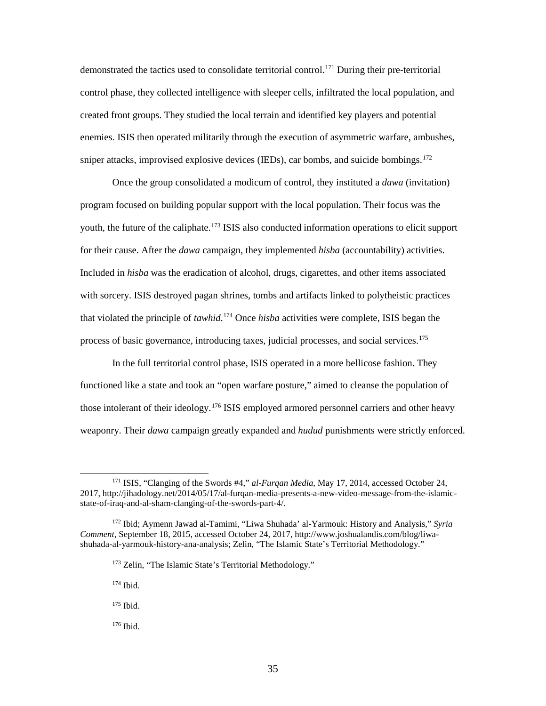demonstrated the tactics used to consolidate territorial control.<sup>[171](#page-41-0)</sup> During their pre-territorial control phase, they collected intelligence with sleeper cells, infiltrated the local population, and created front groups. They studied the local terrain and identified key players and potential sniper attacks, improvised explosive devices (IEDs), car bombs, and suicide bombings.<sup>172</sup> enemies. ISIS then operated militarily through the execution of asymmetric warfare, ambushes,

 Once the group consolidated a modicum of control, they instituted a *dawa* (invitation) program focused on building popular support with the local population. Their focus was the for their cause. After the *dawa* campaign, they implemented *hisba* (accountability) activities. Included in *hisba* was the eradication of alcohol, drugs, cigarettes, and other items associated with sorcery. ISIS destroyed pagan shrines, tombs and artifacts linked to polytheistic practices that violated the principle of *tawhid*. [174](#page-41-3) Once *hisba* activities were complete, ISIS began the process of basic governance, introducing taxes, judicial processes, and social services.<sup>[175](#page-41-4)</sup> youth, the future of the caliphate.<sup>[173](#page-41-2)</sup> ISIS also conducted information operations to elicit support

 In the full territorial control phase, ISIS operated in a more bellicose fashion. They functioned like a state and took an "open warfare posture," aimed to cleanse the population of weaponry. Their *dawa* campaign greatly expanded and *hudud* punishments were strictly enforced. those intolerant of their ideology.[176](#page-41-5) ISIS employed armored personnel carriers and other heavy

174 Ibid.

 $\overline{a}$ 

- <span id="page-41-4"></span>175 Ibid.
- <span id="page-41-5"></span>176 Ibid.

<span id="page-41-0"></span><sup>171</sup> ISIS, "Clanging of the Swords #4," *al-Furqan Media*, May 17, 2014, accessed October 24, 2017,<http://jihadology.net/2014/05/17/al-furqan-media-presents-a-new-video-message-from-the-islamic>state-of-iraq-and-al-sham-clanging-of-the-swords-part-4/.

<span id="page-41-3"></span><span id="page-41-2"></span><span id="page-41-1"></span><sup>172</sup> Ibid; Aymenn Jawad al-Tamimi, "Liwa Shuhada' al-Yarmouk: History and Analysis," *Syria Comment*, September 18, 2015, accessed October 24, 2017, <http://www.joshualandis.com/blog/liwa>shuhada-al-yarmouk-history-ana-analysis; Zelin, "The Islamic State's Territorial Methodology."

<sup>&</sup>lt;sup>173</sup> Zelin, "The Islamic State's Territorial Methodology."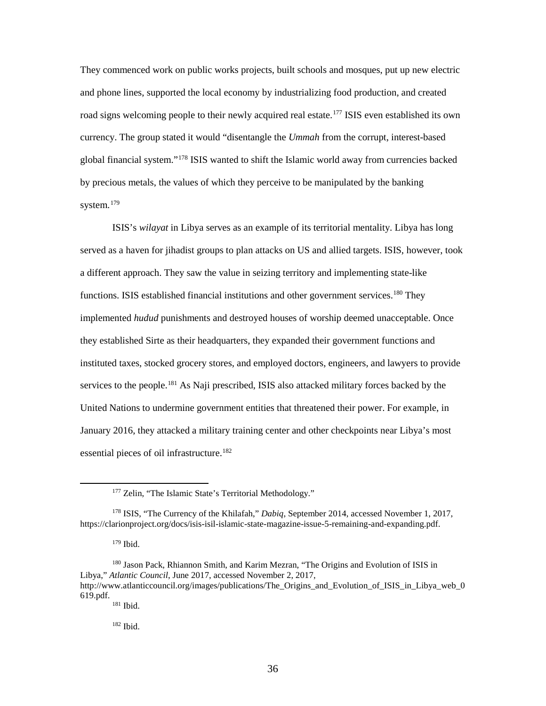and phone lines, supported the local economy by industrializing food production, and created road signs welcoming people to their newly acquired real estate.<sup>177</sup> ISIS even established its own currency. The group stated it would "disentangle the *Ummah* from the corrupt, interest-based global financial system."[178](#page-42-1) ISIS wanted to shift the Islamic world away from currencies backed They commenced work on public works projects, built schools and mosques, put up new electric by precious metals, the values of which they perceive to be manipulated by the banking system.<sup>[179](#page-42-2)</sup>

 served as a haven for jihadist groups to plan attacks on US and allied targets. ISIS, however, took a different approach. They saw the value in seizing territory and implementing state-like functions. ISIS established financial institutions and other government services.<sup>180</sup> They they established Sirte as their headquarters, they expanded their government functions and services to the people.<sup>181</sup> As Naji prescribed, ISIS also attacked military forces backed by the United Nations to undermine government entities that threatened their power. For example, in essential pieces of oil infrastructure. [182](#page-42-5) ISIS's *wilayat* in Libya serves as an example of its territorial mentality. Libya has long implemented *hudud* punishments and destroyed houses of worship deemed unacceptable. Once instituted taxes, stocked grocery stores, and employed doctors, engineers, and lawyers to provide January 2016, they attacked a military training center and other checkpoints near Libya's most

<sup>&</sup>lt;sup>177</sup> Zelin, "The Islamic State's Territorial Methodology."

<span id="page-42-1"></span><span id="page-42-0"></span><sup>178</sup> ISIS, "The Currency of the Khilafah," *Dabiq*, September 2014, accessed November 1, 2017, [https://clarionproject.org/docs/isis-isil-islamic-state-magazine-issue-5-remaining-and-expanding.pdf.](https://clarionproject.org/docs/isis-isil-islamic-state-magazine-issue-5-remaining-and-expanding.pdf)

 179 Ibid.

<span id="page-42-5"></span><span id="page-42-4"></span><span id="page-42-3"></span><span id="page-42-2"></span><sup>619.</sup>pdf.  $181$  Ibid. 180 Jason Pack, Rhiannon Smith, and Karim Mezran, "The Origins and Evolution of ISIS in Libya," *Atlantic Council*, June 2017, accessed November 2, 2017, http://www.atlanticcouncil.org/images/publications/The Origins and Evolution of ISIS in Libya web 0

 182 Ibid.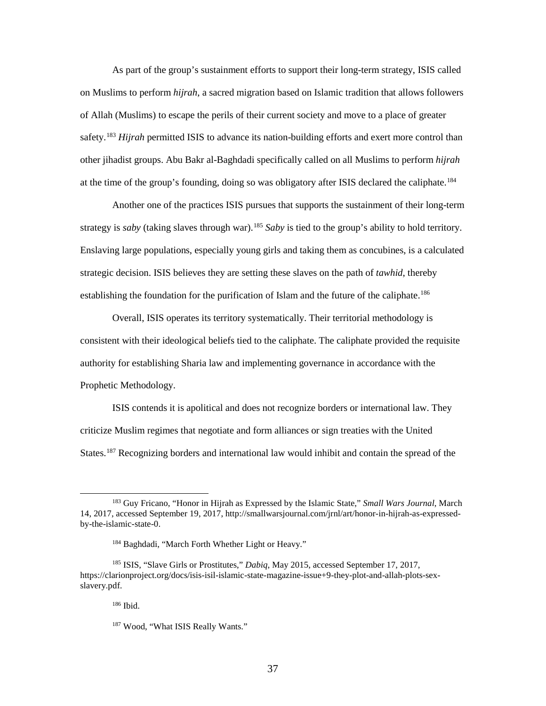As part of the group's sustainment efforts to support their long-term strategy, ISIS called safety.<sup>183</sup> *Hijrah* permitted ISIS to advance its nation-building efforts and exert more control than other jihadist groups. Abu Bakr al-Baghdadi specifically called on all Muslims to perform *hijrah*  at the time of the group's founding, doing so was obligatory after ISIS declared the caliphate.<sup>184</sup> on Muslims to perform *hijrah*, a sacred migration based on Islamic tradition that allows followers of Allah (Muslims) to escape the perils of their current society and move to a place of greater

 Another one of the practices ISIS pursues that supports the sustainment of their long-term strategy is *saby* (taking slaves through war).<sup>185</sup> *Saby* is tied to the group's ability to hold territory. strategic decision. ISIS believes they are setting these slaves on the path of *tawhid*, thereby Enslaving large populations, especially young girls and taking them as concubines, is a calculated establishing the foundation for the purification of Islam and the future of the caliphate.<sup>[186](#page-43-3)</sup>

 consistent with their ideological beliefs tied to the caliphate. The caliphate provided the requisite authority for establishing Sharia law and implementing governance in accordance with the Overall, ISIS operates its territory systematically. Their territorial methodology is Prophetic Methodology.

 ISIS contends it is apolitical and does not recognize borders or international law. They criticize Muslim regimes that negotiate and form alliances or sign treaties with the United States.<sup>187</sup> Recognizing borders and international law would inhibit and contain the spread of the

 $\overline{a}$ 

<span id="page-43-0"></span><sup>183</sup> Guy Fricano, "Honor in Hijrah as Expressed by the Islamic State," *Small Wars Journal*, March 14, 2017, accessed September 19, 2017, <http://smallwarsjournal.com/jrnl/art/honor-in-hijrah-as-expressed>by-the-islamic-state-0.

<sup>184</sup> Baghdadi, "March Forth Whether Light or Heavy."

<span id="page-43-4"></span><span id="page-43-3"></span><span id="page-43-2"></span><span id="page-43-1"></span><sup>185</sup> ISIS, "Slave Girls or Prostitutes," *Dabiq*, May 2015, accessed September 17, 2017, <https://clarionproject.org/docs/isis-isil-islamic-state-magazine-issue+9-they-plot-and-allah-plots-sex>slavery.pdf.

 186 Ibid.

<sup>&</sup>lt;sup>187</sup> Wood, "What ISIS Really Wants."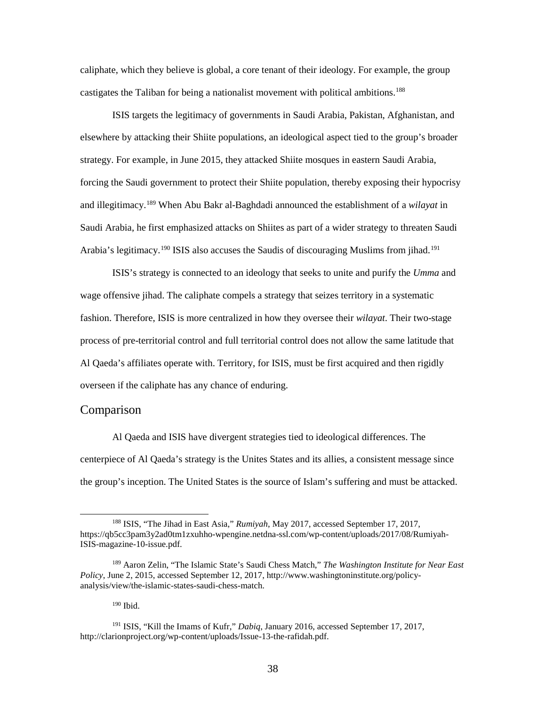<span id="page-44-0"></span>castigates the Taliban for being a nationalist movement with political ambitions.<sup>[188](#page-44-1)</sup> caliphate, which they believe is global, a core tenant of their ideology. For example, the group

 ISIS targets the legitimacy of governments in Saudi Arabia, Pakistan, Afghanistan, and forcing the Saudi government to protect their Shiite population, thereby exposing their hypocrisy and illegitimacy.[189](#page-44-2) When Abu Bakr al-Baghdadi announced the establishment of a *wilayat* in Arabia's legitimacy.<sup>190</sup> ISIS also accuses the Saudis of discouraging Muslims from jihad.<sup>191</sup> elsewhere by attacking their Shiite populations, an ideological aspect tied to the group's broader strategy. For example, in June 2015, they attacked Shiite mosques in eastern Saudi Arabia, Saudi Arabia, he first emphasized attacks on Shiites as part of a wider strategy to threaten Saudi

 process of pre-territorial control and full territorial control does not allow the same latitude that ISIS's strategy is connected to an ideology that seeks to unite and purify the *Umma* and wage offensive jihad. The caliphate compels a strategy that seizes territory in a systematic fashion. Therefore, ISIS is more centralized in how they oversee their *wilayat*. Their two-stage Al Qaeda's affiliates operate with. Territory, for ISIS, must be first acquired and then rigidly overseen if the caliphate has any chance of enduring.

#### Comparison

 $\overline{a}$ 

 the group's inception. The United States is the source of Islam's suffering and must be attacked. Al Qaeda and ISIS have divergent strategies tied to ideological differences. The centerpiece of Al Qaeda's strategy is the Unites States and its allies, a consistent message since

190 Ibid.

<span id="page-44-1"></span><sup>188</sup> ISIS, "The Jihad in East Asia," *Rumiyah*, May 2017, accessed September 17, 2017, <https://qb5cc3pam3y2ad0tm1zxuhho-wpengine.netdna-ssl.com/wp-content/uploads/2017/08/Rumiyah>-ISIS-magazine-10-issue.pdf.

<span id="page-44-2"></span><sup>189</sup> Aaron Zelin, "The Islamic State's Saudi Chess Match," *The Washington Institute for Near East Policy*, June 2, 2015, accessed September 12, 2017,<http://www.washingtoninstitute.org/policy>analysis/view/the-islamic-states-saudi-chess-match.

<span id="page-44-4"></span><span id="page-44-3"></span><sup>191</sup> ISIS, "Kill the Imams of Kufr," *Dabiq*, January 2016, accessed September 17, 2017, [http://clarionproject.org/wp-content/uploads/Issue-13-the-rafidah.pdf.](http://clarionproject.org/wp-content/uploads/Issue-13-the-rafidah.pdf)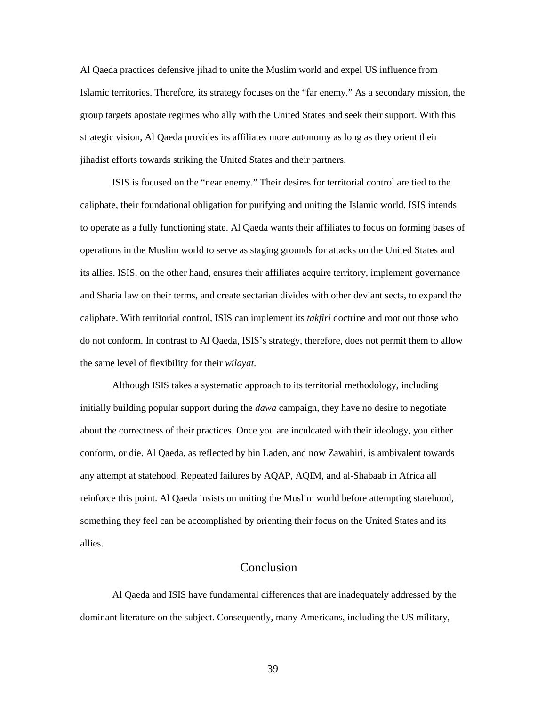<span id="page-45-0"></span> Al Qaeda practices defensive jihad to unite the Muslim world and expel US influence from group targets apostate regimes who ally with the United States and seek their support. With this strategic vision, Al Qaeda provides its affiliates more autonomy as long as they orient their jihadist efforts towards striking the United States and their partners. Islamic territories. Therefore, its strategy focuses on the "far enemy." As a secondary mission, the

 ISIS is focused on the "near enemy." Their desires for territorial control are tied to the caliphate, their foundational obligation for purifying and uniting the Islamic world. ISIS intends to operate as a fully functioning state. Al Qaeda wants their affiliates to focus on forming bases of its allies. ISIS, on the other hand, ensures their affiliates acquire territory, implement governance and Sharia law on their terms, and create sectarian divides with other deviant sects, to expand the caliphate. With territorial control, ISIS can implement its *takfiri* doctrine and root out those who do not conform. In contrast to Al Qaeda, ISIS's strategy, therefore, does not permit them to allow the same level of flexibility for their *wilayat*. operations in the Muslim world to serve as staging grounds for attacks on the United States and

 initially building popular support during the *dawa* campaign, they have no desire to negotiate reinforce this point. Al Qaeda insists on uniting the Muslim world before attempting statehood, Although ISIS takes a systematic approach to its territorial methodology, including about the correctness of their practices. Once you are inculcated with their ideology, you either conform, or die. Al Qaeda, as reflected by bin Laden, and now Zawahiri, is ambivalent towards any attempt at statehood. Repeated failures by AQAP, AQIM, and al-Shabaab in Africa all something they feel can be accomplished by orienting their focus on the United States and its allies.

## Conclusion

 Al Qaeda and ISIS have fundamental differences that are inadequately addressed by the dominant literature on the subject. Consequently, many Americans, including the US military,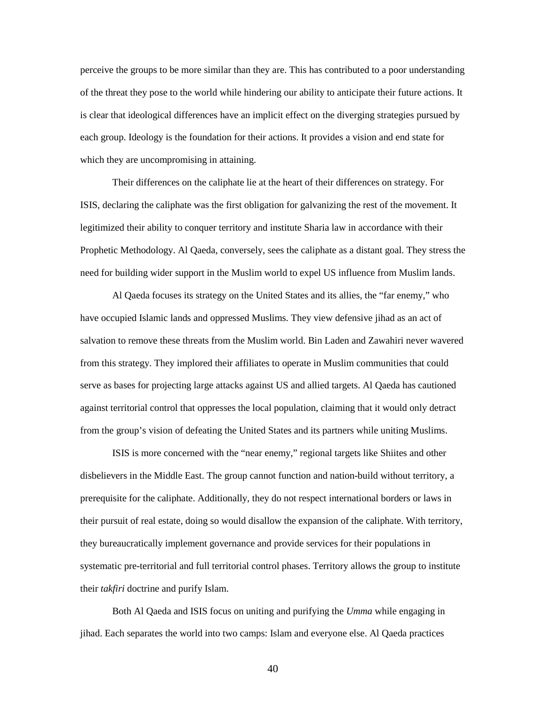perceive the groups to be more similar than they are. This has contributed to a poor understanding of the threat they pose to the world while hindering our ability to anticipate their future actions. It is clear that ideological differences have an implicit effect on the diverging strategies pursued by each group. Ideology is the foundation for their actions. It provides a vision and end state for which they are uncompromising in attaining.

 Their differences on the caliphate lie at the heart of their differences on strategy. For legitimized their ability to conquer territory and institute Sharia law in accordance with their need for building wider support in the Muslim world to expel US influence from Muslim lands. ISIS, declaring the caliphate was the first obligation for galvanizing the rest of the movement. It Prophetic Methodology. Al Qaeda, conversely, sees the caliphate as a distant goal. They stress the

 have occupied Islamic lands and oppressed Muslims. They view defensive jihad as an act of from the group's vision of defeating the United States and its partners while uniting Muslims. Al Qaeda focuses its strategy on the United States and its allies, the "far enemy," who salvation to remove these threats from the Muslim world. Bin Laden and Zawahiri never wavered from this strategy. They implored their affiliates to operate in Muslim communities that could serve as bases for projecting large attacks against US and allied targets. Al Qaeda has cautioned against territorial control that oppresses the local population, claiming that it would only detract

 ISIS is more concerned with the "near enemy," regional targets like Shiites and other their pursuit of real estate, doing so would disallow the expansion of the caliphate. With territory, systematic pre-territorial and full territorial control phases. Territory allows the group to institute their *takfiri* doctrine and purify Islam. disbelievers in the Middle East. The group cannot function and nation-build without territory, a prerequisite for the caliphate. Additionally, they do not respect international borders or laws in they bureaucratically implement governance and provide services for their populations in

 jihad. Each separates the world into two camps: Islam and everyone else. Al Qaeda practices Both Al Qaeda and ISIS focus on uniting and purifying the *Umma* while engaging in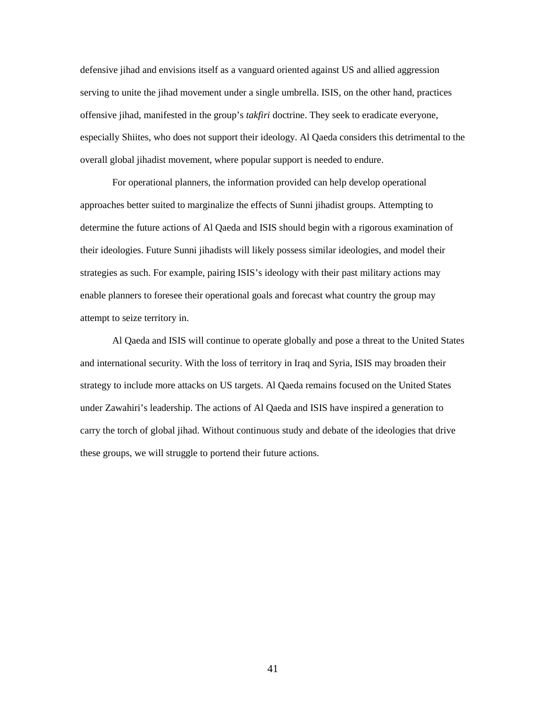serving to unite the jihad movement under a single umbrella. ISIS, on the other hand, practices especially Shiites, who does not support their ideology. Al Qaeda considers this detrimental to the overall global jihadist movement, where popular support is needed to endure. defensive jihad and envisions itself as a vanguard oriented against US and allied aggression offensive jihad, manifested in the group's *takfiri* doctrine. They seek to eradicate everyone,

 For operational planners, the information provided can help develop operational their ideologies. Future Sunni jihadists will likely possess similar ideologies, and model their approaches better suited to marginalize the effects of Sunni jihadist groups. Attempting to determine the future actions of Al Qaeda and ISIS should begin with a rigorous examination of strategies as such. For example, pairing ISIS's ideology with their past military actions may enable planners to foresee their operational goals and forecast what country the group may attempt to seize territory in.

 Al Qaeda and ISIS will continue to operate globally and pose a threat to the United States and international security. With the loss of territory in Iraq and Syria, ISIS may broaden their carry the torch of global jihad. Without continuous study and debate of the ideologies that drive these groups, we will struggle to portend their future actions. strategy to include more attacks on US targets. Al Qaeda remains focused on the United States under Zawahiri's leadership. The actions of Al Qaeda and ISIS have inspired a generation to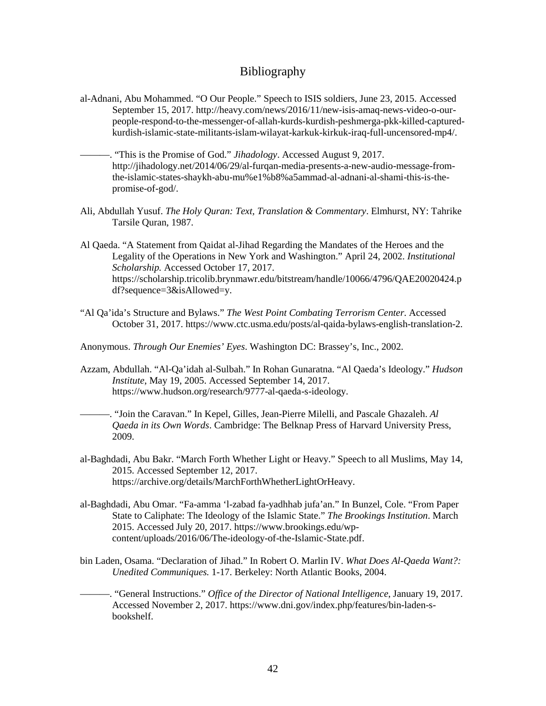## Bibliography

- <span id="page-48-0"></span>al-Adnani, Abu Mohammed. "O Our People." Speech to ISIS soldiers, June 23, 2015. Accessed September 15, 2017. <http://heavy.com/news/2016/11/new-isis-amaq-news-video-o-our>people-respond-to-the-messenger-of-allah-kurds-kurdish-peshmerga-pkk-killed-capturedkurdish-islamic-state-militants-islam-wilayat-karkuk-kirkuk-iraq-full-uncensored-mp4/.
- ———. "This is the Promise of God." *Jihadology*. Accessed August 9, 2017. <http://jihadology.net/2014/06/29/al-furqan-media-presents-a-new-audio-message-from>the-islamic-states-shaykh-abu-mu%e1%b8%a5ammad-al-adnani-al-shami-this-is-thepromise-of-god/.
- Ali, Abdullah Yusuf. *The Holy Quran: Text, Translation & Commentary*. Elmhurst, NY: Tahrike Tarsile Quran, 1987.
- Al Qaeda. "A Statement from Qaidat al-Jihad Regarding the Mandates of the Heroes and the Legality of the Operations in New York and Washington." April 24, 2002. *Institutional Scholarship.* Accessed October 17, 2017. <https://scholarship.tricolib.brynmawr.edu/bitstream/handle/10066/4796/QAE20020424.p> df?sequence=3&isAllowed=y.
- "Al Qa'ida's Structure and Bylaws." *The West Point Combating Terrorism Center*. Accessed October 31, 2017.<https://www.ctc.usma.edu/posts/al-qaida-bylaws-english-translation-2>.
- Anonymous. *Through Our Enemies' Eyes*. Washington DC: Brassey's, Inc., 2002.
- Azzam, Abdullah. "Al-Qa'idah al-Sulbah." In Rohan Gunaratna. "Al Qaeda's Ideology." *Hudson Institute*, May 19, 2005. Accessed September 14, 2017. [https://www.hudson.org/research/9777-al-qaeda-s-ideology.](https://www.hudson.org/research/9777-al-qaeda-s-ideology)
- ———. "Join the Caravan." In Kepel, Gilles, Jean-Pierre Milelli, and Pascale Ghazaleh. *Al Qaeda in its Own Words*. Cambridge: The Belknap Press of Harvard University Press, 2009.
- al-Baghdadi, Abu Bakr. "March Forth Whether Light or Heavy." Speech to all Muslims, May 14, 2015. Accessed September 12, 2017. [https://archive.org/details/MarchForthWhetherLightOrHeavy.](https://archive.org/details/MarchForthWhetherLightOrHeavy)
- al-Baghdadi, Abu Omar. "Fa-amma 'l-zabad fa-yadhhab jufa'an." In Bunzel, Cole. "From Paper State to Caliphate: The Ideology of the Islamic State." *The Brookings Institution*. March 2015. Accessed July 20, 2017. <https://www.brookings.edu/wp>content/uploads/2016/06/The-ideology-of-the-Islamic-State.pdf.
- bin Laden, Osama. "Declaration of Jihad." In Robert O. Marlin IV. *What Does Al-Qaeda Want?: Unedited Communiques.* 1-17. Berkeley: North Atlantic Books, 2004.
- ———. "General Instructions." *Office of the Director of National Intelligence*, January 19, 2017. Accessed November 2, 2017. <https://www.dni.gov/index.php/features/bin-laden-s>bookshelf.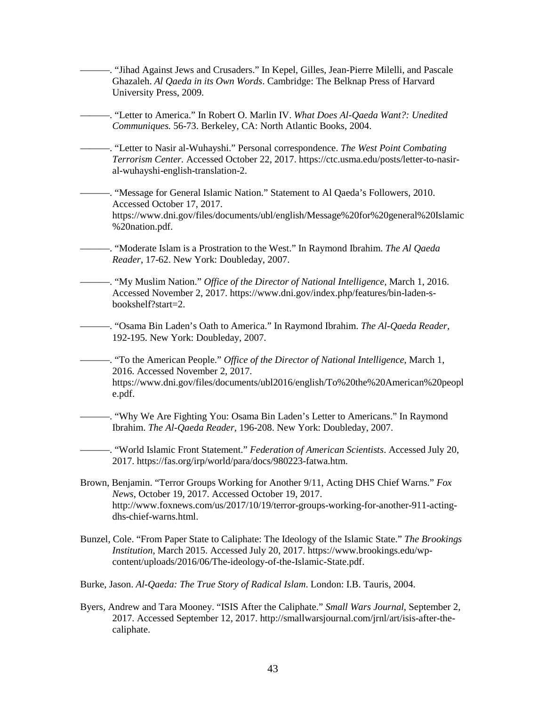Accessed October 17, 2017. ———. "Moderate Islam is a Prostration to the West." In Raymond Ibrahim. *The Al Qaeda*  192-195. New York: Doubleday, 2007. Brown, Benjamin. "Terror Groups Working for Another 9/11, Acting DHS Chief Warns." *Fox Institution*, March 2015. Accessed July 20, 2017.<https://www.brookings.edu/wp>- Burke, Jason. *Al-Qaeda: The True Story of Radical Islam*. London: I.B. Tauris, 2004. ———. "Jihad Against Jews and Crusaders." In Kepel, Gilles, Jean-Pierre Milelli, and Pascale Ghazaleh. *Al Qaeda in its Own Words*. Cambridge: The Belknap Press of Harvard University Press, 2009. ———. "Letter to America." In Robert O. Marlin IV. *What Does Al-Qaeda Want?: Unedited Communiques.* 56-73. Berkeley, CA: North Atlantic Books, 2004. ———. "Letter to Nasir al-Wuhayshi." Personal correspondence. *The West Point Combating Terrorism Center.* Accessed October 22, 2017.<https://ctc.usma.edu/posts/letter-to-nasir>al-wuhayshi-english-translation-2. ———. "Message for General Islamic Nation." Statement to Al Qaeda's Followers, 2010. https://www.dni.gov/files/documents/ubl/english/Message%20for%20general%20Islamic %20nation.pdf. *Reader*, 17-62. New York: Doubleday, 2007. ———. "My Muslim Nation." *Office of the Director of National Intelligence*, March 1, 2016. Accessed November 2, 2017.<https://www.dni.gov/index.php/features/bin-laden-s>bookshelf?start=2. ———. "Osama Bin Laden's Oath to America." In Raymond Ibrahim. *The Al-Qaeda Reader,*  <sup>221</sup> - To the American People." *Office of the Director of National Intelligence*, March 1, 2016. Accessed November 2, 2017. <https://www.dni.gov/files/documents/ubl2016/english/To%20the%20American%20peopl> e.pdf. ———. "Why We Are Fighting You: Osama Bin Laden's Letter to Americans." In Raymond Ibrahim. *The Al-Qaeda Reader,* 196-208. New York: Doubleday, 2007. ———. "World Islamic Front Statement." *Federation of American Scientists*. Accessed July 20, 2017. [https://fas.org/irp/world/para/docs/980223-fatwa.htm.](https://fas.org/irp/world/para/docs/980223-fatwa.htm) *News*, October 19, 2017. Accessed October 19, 2017. <http://www.foxnews.com/us/2017/10/19/terror-groups-working-for-another-911-acting>dhs-chief-warns.html. Bunzel, Cole. "From Paper State to Caliphate: The Ideology of the Islamic State." *The Brookings*  content/uploads/2016/06/The-ideology-of-the-Islamic-State.pdf.

 Byers, Andrew and Tara Mooney. "ISIS After the Caliphate." *Small Wars Journal*, September 2, 2017. Accessed September 12, 2017. <http://smallwarsjournal.com/jrnl/art/isis-after-the>caliphate.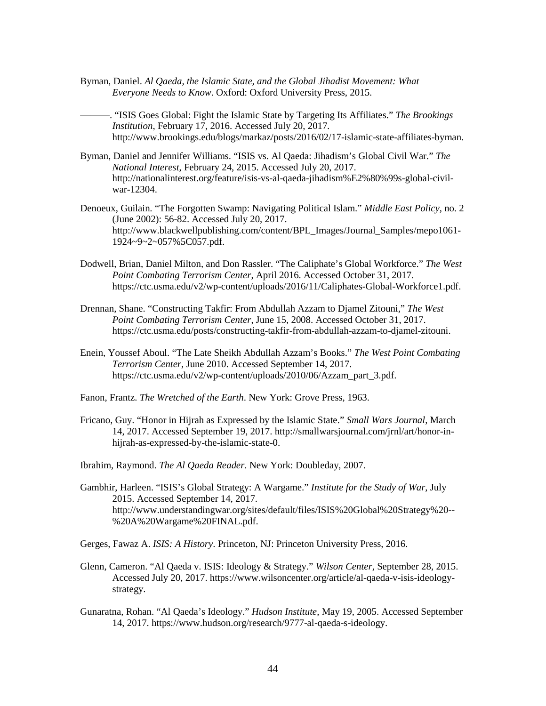Byman, Daniel. *Al Qaeda, the Islamic State, and the Global Jihadist Movement: What Everyone Needs to Know*. Oxford: Oxford University Press, 2015.

———. "ISIS Goes Global: Fight the Islamic State by Targeting Its Affiliates." *The Brookings Institution*, February 17, 2016. Accessed July 20, 2017. <http://www.brookings.edu/blogs/markaz/posts/2016/02/17-islamic-state-affiliates-byman>.

- Byman, Daniel and Jennifer Williams. "ISIS vs. Al Qaeda: Jihadism's Global Civil War." *The National Interest*, February 24, 2015. Accessed July 20, 2017. <http://nationalinterest.org/feature/isis-vs-al-qaeda-jihadism%E2%80%99s-global-civil>war-12304.
- Denoeux, Guilain*.* "The Forgotten Swamp: Navigating Political Islam." *Middle East Policy*, no. 2 (June 2002): 56-82. Accessed July 20, 2017. [http://www.blackwellpublishing.com/content/BPL\\_Images/Journal\\_Samples/mepo1061](http://www.blackwellpublishing.com/content/BPL_Images/Journal_Samples/mepo1061)- 1924~9~2~057%5C057.pdf.
- Dodwell, Brian, Daniel Milton, and Don Rassler. "The Caliphate's Global Workforce." *The West Point Combating Terrorism Center*, April 2016. Accessed October 31, 2017. <https://ctc.usma.edu/v2/wp-content/uploads/2016/11/Caliphates-Global-Workforce1.pdf>.
- Drennan, Shane. "Constructing Takfir: From Abdullah Azzam to Djamel Zitouni," *The West Point Combating Terrorism Center*, June 15, 2008. Accessed October 31, 2017. [https://ctc.usma.edu/posts/constructing-takfir-from-abdullah-azzam-to-djamel-zitouni.](https://ctc.usma.edu/posts/constructing-takfir-from-abdullah-azzam-to-djamel-zitouni)
- Enein, Youssef Aboul. "The Late Sheikh Abdullah Azzam's Books." *The West Point Combating Terrorism Center,* June 2010. Accessed September 14, 2017. [https://ctc.usma.edu/v2/wp-content/uploads/2010/06/Azzam\\_part\\_3.pdf](https://ctc.usma.edu/v2/wp-content/uploads/2010/06/Azzam_part_3.pdf).
- Fanon, Frantz. *The Wretched of the Earth*. New York: Grove Press, 1963.
- Fricano, Guy. "Honor in Hijrah as Expressed by the Islamic State." *Small Wars Journal*, March 14, 2017. Accessed September 19, 2017.<http://smallwarsjournal.com/jrnl/art/honor-in>hijrah-as-expressed-by-the-islamic-state-0.
- Ibrahim, Raymond. *The Al Qaeda Reader*. New York: Doubleday, 2007.
- Gambhir, Harleen. "ISIS's Global Strategy: A Wargame." *Institute for the Study of War*, July 2015. Accessed September 14, 2017. <http://www.understandingwar.org/sites/default/files/ISIS%20Global%20Strategy%20>-- %20A%20Wargame%20FINAL.pdf.
- Gerges, Fawaz A. *ISIS: A History*. Princeton, NJ: Princeton University Press, 2016.
- Glenn, Cameron. "Al Qaeda v. ISIS: Ideology & Strategy." *Wilson Center*, September 28, 2015. Accessed July 20, 2017.<https://www.wilsoncenter.org/article/al-qaeda-v-isis-ideology>strategy.
- Gunaratna, Rohan. "Al Qaeda's Ideology." *Hudson Institute*, May 19, 2005. Accessed September 14, 2017. [https://www.hudson.org/research/9777-al-qaeda-s-ideology.](https://www.hudson.org/research/9777-al-qaeda-s-ideology)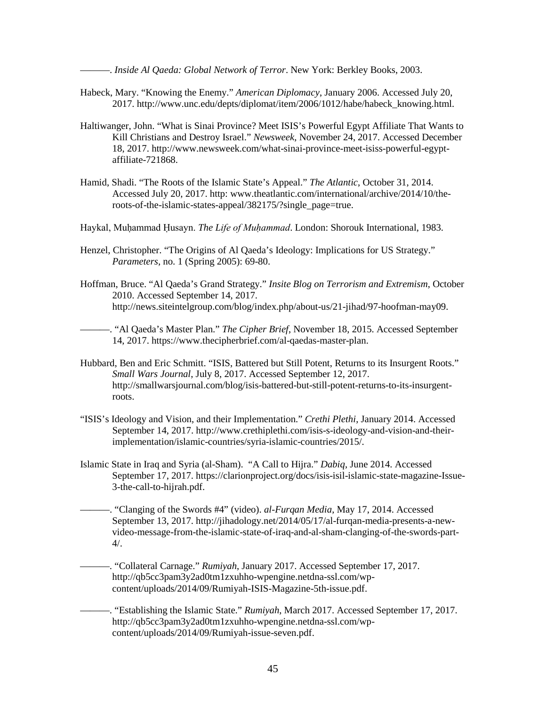———. *Inside Al Qaeda: Global Network of Terror*. New York: Berkley Books, 2003.

- Habeck, Mary. "Knowing the Enemy." *American Diplomacy*, January 2006. Accessed July 20, 2017. [http://www.unc.edu/depts/diplomat/item/2006/1012/habe/habeck\\_knowing.html](http://www.unc.edu/depts/diplomat/item/2006/1012/habe/habeck_knowing.html).
- Haltiwanger, John. "What is Sinai Province? Meet ISIS's Powerful Egypt Affiliate That Wants to Kill Christians and Destroy Israel." *Newsweek*, November 24, 2017. Accessed December 18, 2017.<http://www.newsweek.com/what-sinai-province-meet-isiss-powerful-egypt>affiliate-721868.
- roots-of-the-islamic-states-appeal/382175/?single\_page=true. Hamid, Shadi. "The Roots of the Islamic State's Appeal." *The Atlantic*, October 31, 2014. Accessed July 20, 2017. http:<www.theatlantic.com/international/archive/2014/10/the>-
- Haykal, Muḥammad Ḥusayn. *The Life of Muḥammad*. London: Shorouk International, 1983.
- Henzel, Christopher. "The Origins of Al Qaeda's Ideology: Implications for US Strategy." *Parameters*, no. 1 (Spring 2005): 69-80.
- Hoffman, Bruce. "Al Qaeda's Grand Strategy." *Insite Blog on Terrorism and Extremism*, October 2010. Accessed September 14, 2017. <http://news.siteintelgroup.com/blog/index.php/about-us/21-jihad/97-hoofman-may09>.

———. "Al Qaeda's Master Plan." *The Cipher Brief*, November 18, 2015. Accessed September 14, 2017. [https://www.thecipherbrief.com/al-qaedas-master-plan.](https://www.thecipherbrief.com/al-qaedas-master-plan)

- Hubbard, Ben and Eric Schmitt. "ISIS, Battered but Still Potent, Returns to its Insurgent Roots." *Small Wars Journal*, July 8, 2017. Accessed September 12, 2017. <http://smallwarsjournal.com/blog/isis-battered-but-still-potent-returns-to-its-insurgent>roots.
- "ISIS's Ideology and Vision, and their Implementation." *Crethi Plethi*, January 2014. Accessed September 14, 2017. <http://www.crethiplethi.com/isis-s-ideology-and-vision-and-their>implementation/islamic-countries/syria-islamic-countries/2015/.
- Islamic State in Iraq and Syria (al-Sham). "A Call to Hijra." *Dabiq*, June 2014. Accessed September 17, 2017. <https://clarionproject.org/docs/isis-isil-islamic-state-magazine-Issue>-3-the-call-to-hijrah.pdf.
- ———. "Clanging of the Swords #4" (video). *al-Furqan Media*, May 17, 2014. Accessed September 13, 2017. <http://jihadology.net/2014/05/17/al-furqan-media-presents-a-new>video-message-from-the-islamic-state-of-iraq-and-al-sham-clanging-of-the-swords-part-4/.

———. "Collateral Carnage." *Rumiyah*, January 2017. Accessed September 17, 2017. <http://qb5cc3pam3y2ad0tm1zxuhho-wpengine.netdna-ssl.com/wp>content/uploads/2014/09/Rumiyah-ISIS-Magazine-5th-issue.pdf.

———. "Establishing the Islamic State." *Rumiyah*, March 2017. Accessed September 17, 2017. <http://qb5cc3pam3y2ad0tm1zxuhho-wpengine.netdna-ssl.com/wp>content/uploads/2014/09/Rumiyah-issue-seven.pdf.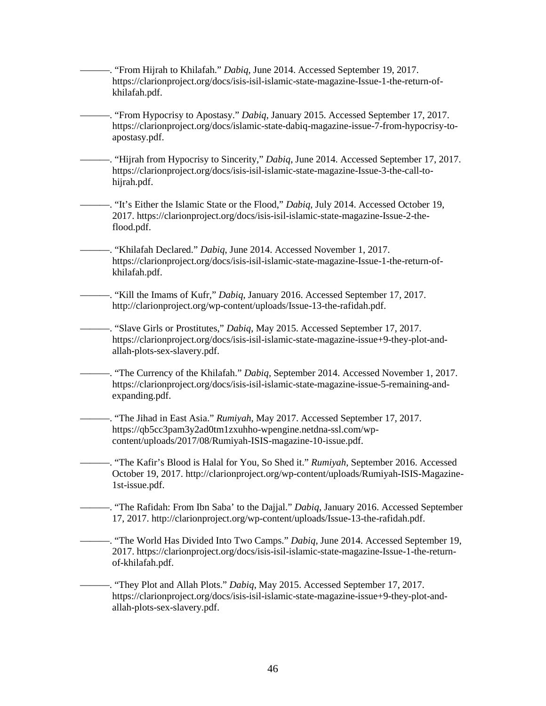———. "From Hijrah to Khilafah." *Dabiq*, June 2014. Accessed September 19, 2017. <https://clarionproject.org/docs/isis-isil-islamic-state-magazine-Issue-1-the-return-of>khilafah.pdf.

———. "From Hypocrisy to Apostasy." *Dabiq*, January 2015. Accessed September 17, 2017. <https://clarionproject.org/docs/islamic-state-dabiq-magazine-issue-7-from-hypocrisy-to>apostasy.pdf.

hijrah.pdf. ———. "Hijrah from Hypocrisy to Sincerity," *Dabiq*, June 2014. Accessed September 17, 2017. <https://clarionproject.org/docs/isis-isil-islamic-state-magazine-Issue-3-the-call-to>-

hijrah.pdf. ———. "It's Either the Islamic State or the Flood," *Dabiq*, July 2014. Accessed October 19, 2017. <https://clarionproject.org/docs/isis-isil-islamic-state-magazine-Issue-2-the>flood.pdf.

———. "Khilafah Declared." *Dabiq*, June 2014. Accessed November 1, 2017. <https://clarionproject.org/docs/isis-isil-islamic-state-magazine-Issue-1-the-return-of>khilafah.pdf.

———. "Kill the Imams of Kufr," *Dabiq*, January 2016. Accessed September 17, 2017. <http://clarionproject.org/wp-content/uploads/Issue-13-the-rafidah.pdf>.

———. "Slave Girls or Prostitutes," *Dabiq*, May 2015. Accessed September 17, 2017. <https://clarionproject.org/docs/isis-isil-islamic-state-magazine-issue+9-they-plot-and>allah-plots-sex-slavery.pdf.

———. "The Currency of the Khilafah." *Dabiq*, September 2014. Accessed November 1, 2017. <https://clarionproject.org/docs/isis-isil-islamic-state-magazine-issue-5-remaining-and>expanding.pdf.

 ———. "The Jihad in East Asia." *Rumiyah*, May 2017. Accessed September 17, 2017. <https://qb5cc3pam3y2ad0tm1zxuhho-wpengine.netdna-ssl.com/wp>content/uploads/2017/08/Rumiyah-ISIS-magazine-10-issue.pdf.

 ———. "The Kafir's Blood is Halal for You, So Shed it." *Rumiyah*, September 2016. Accessed October 19, 2017.<http://clarionproject.org/wp-content/uploads/Rumiyah-ISIS-Magazine>-1st-issue.pdf.

 ———. "The Rafidah: From Ibn Saba' to the Dajjal." *Dabiq*, January 2016. Accessed September 17, 2017.<http://clarionproject.org/wp-content/uploads/Issue-13-the-rafidah.pdf>.

———. "The World Has Divided Into Two Camps." *Dabiq*, June 2014. Accessed September 19, 2017.<https://clarionproject.org/docs/isis-isil-islamic-state-magazine-Issue-1-the-return>of-khilafah.pdf.

 ———. "They Plot and Allah Plots." *Dabiq*, May 2015. Accessed September 17, 2017. <https://clarionproject.org/docs/isis-isil-islamic-state-magazine-issue+9-they-plot-and>allah-plots-sex-slavery.pdf.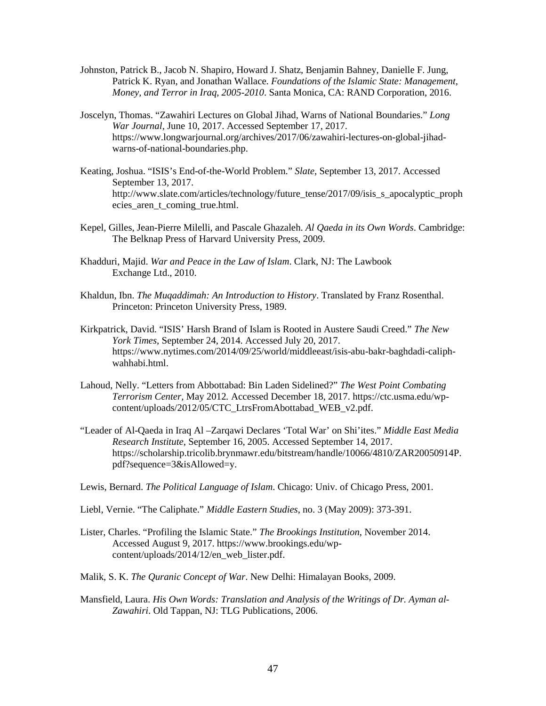- Patrick K. Ryan, and Jonathan Wallace. *Foundations of the Islamic State: Management*, Johnston, Patrick B., Jacob N. Shapiro, Howard J. Shatz, Benjamin Bahney, Danielle F. Jung, *Money, and Terror in Iraq, 2005-2010*. Santa Monica, CA: RAND Corporation, 2016.
- Joscelyn, Thomas. "Zawahiri Lectures on Global Jihad, Warns of National Boundaries." *Long War Journal*, June 10, 2017. Accessed September 17, 2017. <https://www.longwarjournal.org/archives/2017/06/zawahiri-lectures-on-global-jihad>warns-of-national-boundaries.php.
- Keating, Joshua. "ISIS's End-of-the-World Problem." *Slate*, September 13, 2017. Accessed September 13, 2017. [http://www.slate.com/articles/technology/future\\_tense/2017/09/isis\\_s\\_apocalyptic\\_proph](http://www.slate.com/articles/technology/future_tense/2017/09/isis_s_apocalyptic_proph) ecies\_aren\_t\_coming\_true.html.
- The Belknap Press of Harvard University Press, 2009. Kepel, Gilles, Jean-Pierre Milelli, and Pascale Ghazaleh. *Al Qaeda in its Own Words*. Cambridge:
- The Belknap Press of Harvard University Press, 2009. Khadduri, Majid. *War and Peace in the Law of Islam*. Clark, NJ: The Lawbook Exchange Ltd., 2010.
- Khaldun, Ibn. *The Muqaddimah: An Introduction to History*. Translated by Franz Rosenthal. Princeton: Princeton University Press, 1989.
- Kirkpatrick, David. "ISIS' Harsh Brand of Islam is Rooted in Austere Saudi Creed." *The New York Times*, September 24, 2014. Accessed July 20, 2017. <https://www.nytimes.com/2014/09/25/world/middleeast/isis-abu-bakr-baghdadi-caliph>wahhabi.html.
- Lahoud, Nelly. "Letters from Abbottabad: Bin Laden Sidelined?" *The West Point Combating Terrorism Center,* May 2012*.* Accessed December 18, 2017. <https://ctc.usma.edu/wp>content/uploads/2012/05/CTC\_LtrsFromAbottabad\_WEB\_v2.pdf.
- "Leader of Al-Qaeda in Iraq Al –Zarqawi Declares 'Total War' on Shi'ites." *Middle East Media Research Institute*, September 16, 2005. Accessed September 14, 2017. <https://scholarship.tricolib.brynmawr.edu/bitstream/handle/10066/4810/ZAR20050914P>. pdf?sequence=3&isAllowed=y.
- Lewis, Bernard. *The Political Language of Islam*. Chicago: Univ. of Chicago Press, 2001.
- Liebl, Vernie. "The Caliphate." *Middle Eastern Studies*, no. 3 (May 2009): 373-391.
- Lister, Charles. "Profiling the Islamic State." *The Brookings Institution*, November 2014. Accessed August 9, 2017.<https://www.brookings.edu/wp>content/uploads/2014/12/en\_web\_lister.pdf.
- Malik, S. K. *The Quranic Concept of War*. New Delhi: Himalayan Books, 2009.
- Mansfield, Laura. *His Own Words: Translation and Analysis of the Writings of Dr. Ayman al-Zawahiri*. Old Tappan, NJ: TLG Publications, 2006.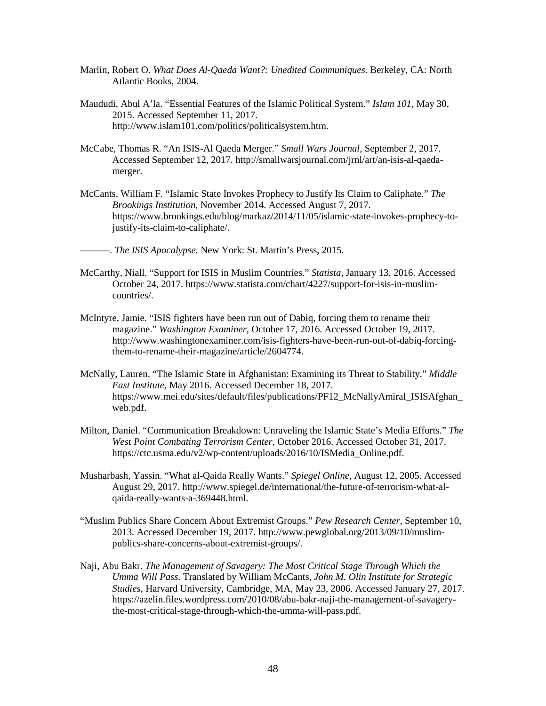- Marlin, Robert O. *What Does Al-Qaeda Want?: Unedited Communiques*. Berkeley, CA: North Atlantic Books, 2004.
- Maududi, Abul A'la. "Essential Features of the Islamic Political System." *Islam 101*, May 30, 2015. Accessed September 11, 2017. [http://www.islam101.com/politics/politicalsystem.htm.](http://www.islam101.com/politics/politicalsystem.htm)
- McCabe, Thomas R. "An ISIS-Al Qaeda Merger." *Small Wars Journal*, September 2, 2017. Accessed September 12, 2017.<http://smallwarsjournal.com/jrnl/art/an-isis-al-qaeda>merger.
- McCants, William F. "Islamic State Invokes Prophecy to Justify Its Claim to Caliphate." *The Brookings Institution*, November 2014. Accessed August 7, 2017. <https://www.brookings.edu/blog/markaz/2014/11/05/islamic-state-invokes-prophecy-to>justify-its-claim-to-caliphate/.
- ———. *The ISIS Apocalypse.* New York: St. Martin's Press, 2015.
- McCarthy, Niall. "Support for ISIS in Muslim Countries." *Statista,* January 13, 2016. Accessed October 24, 2017.<https://www.statista.com/chart/4227/support-for-isis-in-muslim>countries/.
- McIntyre, Jamie. "ISIS fighters have been run out of Dabiq, forcing them to rename their magazine." *Washington Examiner*, October 17, 2016. Accessed October 19, 2017. <http://www.washingtonexaminer.com/isis-fighters-have-been-run-out-of-dabiq-forcing>them-to-rename-their-magazine/article/2604774.
- McNally, Lauren. "The Islamic State in Afghanistan: Examining its Threat to Stability." *Middle East Institute*, May 2016. Accessed December 18, 2017. [https://www.mei.edu/sites/default/files/publications/PF12\\_McNallyAmiral\\_ISISAfghan](https://www.mei.edu/sites/default/files/publications/PF12_McNallyAmiral_ISISAfghan)\_ web.pdf.
- Milton, Daniel. "Communication Breakdown: Unraveling the Islamic State's Media Efforts." *The West Point Combating Terrorism Center*, October 2016. Accessed October 31, 2017. [https://ctc.usma.edu/v2/wp-content/uploads/2016/10/ISMedia\\_Online.pdf.](https://ctc.usma.edu/v2/wp-content/uploads/2016/10/ISMedia_Online.pdf)
- August 29, 2017.<http://www.spiegel.de/international/the-future-of-terrorism-what-al>-Musharbash, Yassin. "What al-Qaida Really Wants." *Spiegel Online*, August 12, 2005. Accessed qaida-really-wants-a-369448.html.
- "Muslim Publics Share Concern About Extremist Groups." *Pew Research Center*, September 10, 2013. Accessed December 19, 2017. <http://www.pewglobal.org/2013/09/10/muslim>publics-share-concerns-about-extremist-groups/.
- Naji, Abu Bakr. *The Management of Savagery: The Most Critical Stage Through Which the Umma Will Pass.* Translated by William McCants, *John M. Olin Institute for Strategic Studies*, Harvard University, Cambridge, MA, May 23, 2006. Accessed January 27, 2017. <https://azelin.files.wordpress.com/2010/08/abu-bakr-naji-the-management-of-savagery>the-most-critical-stage-through-which-the-umma-will-pass.pdf.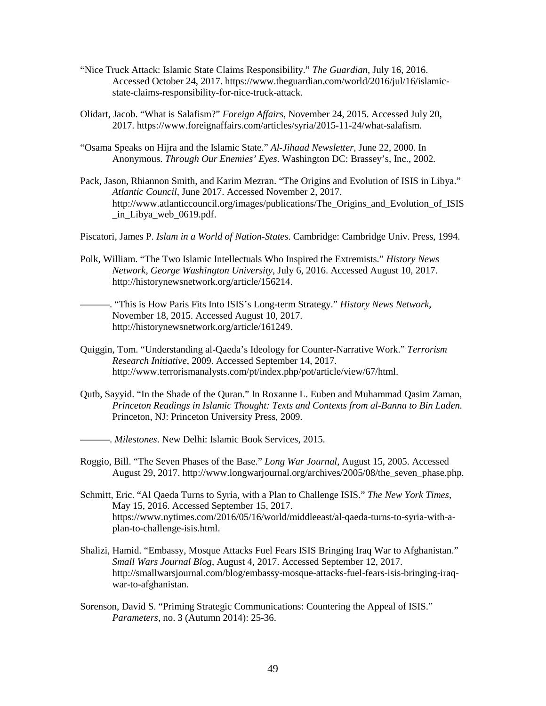- state-claims-responsibility-for-nice-truck-attack. "Nice Truck Attack: Islamic State Claims Responsibility." *The Guardian*, July 16, 2016. Accessed October 24, 2017.<https://www.theguardian.com/world/2016/jul/16/islamic>-
- Olidart, Jacob. "What is Salafism?" *Foreign Affairs*, November 24, 2015. Accessed July 20, 2017. [https://www.foreignaffairs.com/articles/syria/2015-11-24/what-salafism.](https://www.foreignaffairs.com/articles/syria/2015-11-24/what-salafism)
- "Osama Speaks on Hijra and the Islamic State." *Al-Jihaad Newsletter*, June 22, 2000. In Anonymous. *Through Our Enemies' Eyes*. Washington DC: Brassey's, Inc., 2002.
- Pack, Jason, Rhiannon Smith, and Karim Mezran. "The Origins and Evolution of ISIS in Libya." *Atlantic Council*, June 2017. Accessed November 2, 2017. [http://www.atlanticcouncil.org/images/publications/The\\_Origins\\_and\\_Evolution\\_of\\_ISIS](http://www.atlanticcouncil.org/images/publications/The_Origins_and_Evolution_of_ISIS)  \_in\_Libya\_web\_0619.pdf.
- Piscatori, James P. *Islam in a World of Nation-States*. Cambridge: Cambridge Univ. Press, 1994.
- Polk, William. "The Two Islamic Intellectuals Who Inspired the Extremists." *History News Network, George Washington University*, July 6, 2016. Accessed August 10, 2017. [http://historynewsnetwork.org/article/156214.](http://historynewsnetwork.org/article/156214)
- ———. "This is How Paris Fits Into ISIS's Long-term Strategy." *History News Network*, November 18, 2015. Accessed August 10, 2017. [http://historynewsnetwork.org/article/161249.](http://historynewsnetwork.org/article/161249)
- Quiggin, Tom. "Understanding al-Qaeda's Ideology for Counter-Narrative Work." *Terrorism Research Initiative*, 2009. Accessed September 14, 2017. <http://www.terrorismanalysts.com/pt/index.php/pot/article/view/67/html>.
- Qutb, Sayyid. "In the Shade of the Quran." In Roxanne L. Euben and Muhammad Qasim Zaman, *Princeton Readings in Islamic Thought: Texts and Contexts from al-Banna to Bin Laden.*  Princeton, NJ: Princeton University Press, 2009.
- ———. *Milestones*. New Delhi: Islamic Book Services, 2015.
- August 29, 2017. http://www.longwarjournal.org/archives/2005/08/the seven phase.php. Roggio, Bill. "The Seven Phases of the Base." *Long War Journal*, August 15, 2005. Accessed
- Schmitt, Eric. "Al Qaeda Turns to Syria, with a Plan to Challenge ISIS." *The New York Times*, May 15, 2016. Accessed September 15, 2017. <https://www.nytimes.com/2016/05/16/world/middleeast/al-qaeda-turns-to-syria-with-a>plan-to-challenge-isis.html.
- Shalizi, Hamid. "Embassy, Mosque Attacks Fuel Fears ISIS Bringing Iraq War to Afghanistan." *Small Wars Journal Blog*, August 4, 2017. Accessed September 12, 2017. <http://smallwarsjournal.com/blog/embassy-mosque-attacks-fuel-fears-isis-bringing-iraq>war-to-afghanistan.
- Sorenson, David S. "Priming Strategic Communications: Countering the Appeal of ISIS." *Parameters*, no. 3 (Autumn 2014): 25-36.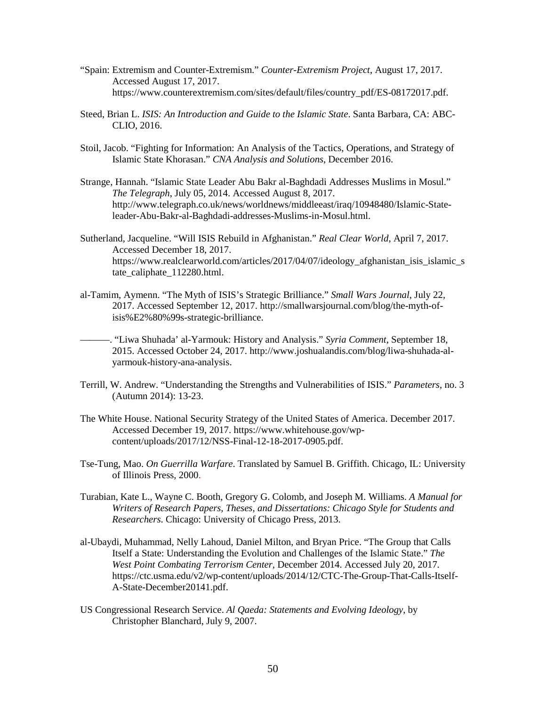- "Spain: Extremism and Counter-Extremism." *Counter-Extremism Project*, August 17, 2017. Accessed August 17, 2017. [https://www.counterextremism.com/sites/default/files/country\\_pdf/ES-08172017.pdf](https://www.counterextremism.com/sites/default/files/country_pdf/ES-08172017.pdf).
- Steed, Brian L. *ISIS: An Introduction and Guide to the Islamic State*. Santa Barbara, CA: ABC-CLIO, 2016.
- Stoil, Jacob. "Fighting for Information: An Analysis of the Tactics, Operations, and Strategy of Islamic State Khorasan." *CNA Analysis and Solutions*, December 2016.
- Strange, Hannah. "Islamic State Leader Abu Bakr al-Baghdadi Addresses Muslims in Mosul." *The Telegraph*, July 05, 2014. Accessed August 8, 2017. <http://www.telegraph.co.uk/news/worldnews/middleeast/iraq/10948480/Islamic-State>leader-Abu-Bakr-al-Baghdadi-addresses-Muslims-in-Mosul.html.
- Sutherland, Jacqueline. "Will ISIS Rebuild in Afghanistan." *Real Clear World*, April 7, 2017. Accessed December 18, 2017. https://www.realclearworld.com/articles/2017/04/07/ideology afghanistan\_isis\_islamic\_s tate\_caliphate\_112280.html.
- al-Tamim, Aymenn. "The Myth of ISIS's Strategic Brilliance." *Small Wars Journal*, July 22, 2017. Accessed September 12, 2017. <http://smallwarsjournal.com/blog/the-myth-of>isis%E2%80%99s-strategic-brilliance.
- ———. "Liwa Shuhada' al-Yarmouk: History and Analysis." *Syria Comment*, September 18, 2015. Accessed October 24, 2017.<http://www.joshualandis.com/blog/liwa-shuhada-al>yarmouk-history-ana-analysis.
- Terrill, W. Andrew. "Understanding the Strengths and Vulnerabilities of ISIS." *Parameters*, no. 3 (Autumn 2014): 13-23.
- The White House. National Security Strategy of the United States of America. December 2017. Accessed December 19, 2017.<https://www.whitehouse.gov/wp>content/uploads/2017/12/NSS-Final-12-18-2017-0905.pdf.
- Tse-Tung, Mao. *On Guerrilla Warfare*. Translated by Samuel B. Griffith. Chicago, IL: University of Illinois Press, 2000.
- Turabian, Kate L., Wayne C. Booth, Gregory G. Colomb, and Joseph M. Williams. *A Manual for Writers of Research Papers, Theses, and Dissertations: Chicago Style for Students and Researchers*. Chicago: University of Chicago Press, 2013.
- al-Ubaydi, Muhammad, Nelly Lahoud, Daniel Milton, and Bryan Price. "The Group that Calls Itself a State: Understanding the Evolution and Challenges of the Islamic State." *The West Point Combating Terrorism Center*, December 2014. Accessed July 20, 2017. <https://ctc.usma.edu/v2/wp-content/uploads/2014/12/CTC-The-Group-That-Calls-Itself>-A-State-December20141.pdf.
- US Congressional Research Service. *Al Qaeda: Statements and Evolving Ideology*, by Christopher Blanchard, July 9, 2007.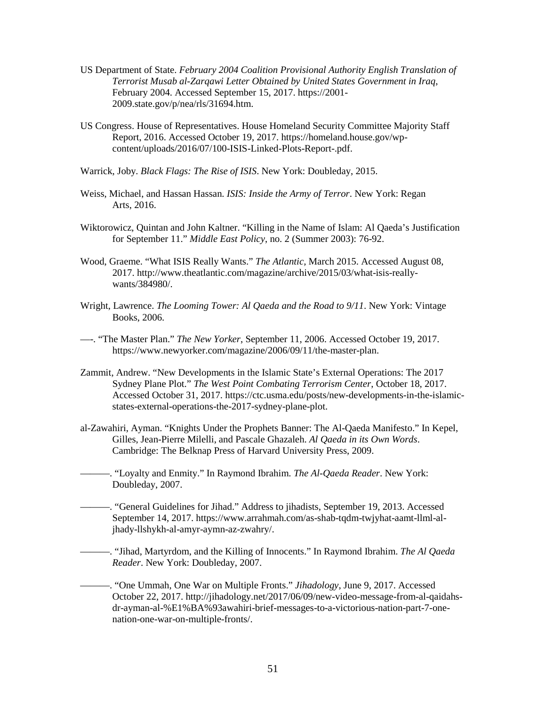- US Department of State. *February 2004 Coalition Provisional Authority English Translation of Terrorist Musab al-Zarqawi Letter Obtained by United States Government in Iraq*, February 2004. Accessed September 15, 2017. [https://2001-](https://2001) [2009.state.gov/p/nea/rls/31694.htm.](https://2009.state.gov/p/nea/rls/31694.htm)
- US Congress. House of Representatives. House Homeland Security Committee Majority Staff Report, 2016. Accessed October 19, 2017.<https://homeland.house.gov/wp>content/uploads/2016/07/100-ISIS-Linked-Plots-Report-.pdf.

Warrick, Joby. *Black Flags: The Rise of ISIS*. New York: Doubleday, 2015.

- Weiss, Michael, and Hassan Hassan. *ISIS: Inside the Army of Terror*. New York: Regan Arts, 2016.
- Wiktorowicz, Quintan and John Kaltner. "Killing in the Name of Islam: Al Qaeda's Justification for September 11." *Middle East Policy*, no. 2 (Summer 2003): 76-92.
- Wood, Graeme. "What ISIS Really Wants." *The Atlantic,* March 2015. Accessed August 08, 2017. <http://www.theatlantic.com/magazine/archive/2015/03/what-isis-really>wants/384980/.
- Books, 2006. Wright, Lawrence. *The Looming Tower: Al Qaeda and the Road to 9/11*. New York: Vintage
- Books, 2006. —-. "The Master Plan." *The New Yorker*, September 11, 2006. Accessed October 19, 2017. <https://www.newyorker.com/magazine/2006/09/11/the-master-plan>.
- Zammit, Andrew. "New Developments in the Islamic State's External Operations: The 2017 Sydney Plane Plot." *The West Point Combating Terrorism Center*, October 18, 2017. Accessed October 31, 2017.<https://ctc.usma.edu/posts/new-developments-in-the-islamic>states-external-operations-the-2017-sydney-plane-plot.
- al-Zawahiri, Ayman. "Knights Under the Prophets Banner: The Al-Qaeda Manifesto." In Kepel, Gilles, Jean-Pierre Milelli, and Pascale Ghazaleh. *Al Qaeda in its Own Words*. Cambridge: The Belknap Press of Harvard University Press, 2009.
- ———. "Loyalty and Enmity." In Raymond Ibrahim. *The Al-Qaeda Reader*. New York: Doubleday, 2007.
- ———. "General Guidelines for Jihad." Address to jihadists, September 19, 2013. Accessed September 14, 2017. <https://www.arrahmah.com/as-shab-tqdm-twjyhat-aamt-llml-al>jhady-llshykh-al-amyr-aymn-az-zwahry/.
- ———. "Jihad, Martyrdom, and the Killing of Innocents." In Raymond Ibrahim. *The Al Qaeda Reader*. New York: Doubleday, 2007.
	- ———. "One Ummah, One War on Multiple Fronts." *Jihadology*, June 9, 2017. Accessed October 22, 2017.<http://jihadology.net/2017/06/09/new-video-message-from-al-qaidahs>dr-ayman-al-%E1%BA%93awahiri-brief-messages-to-a-victorious-nation-part-7-onenation-one-war-on-multiple-fronts/.